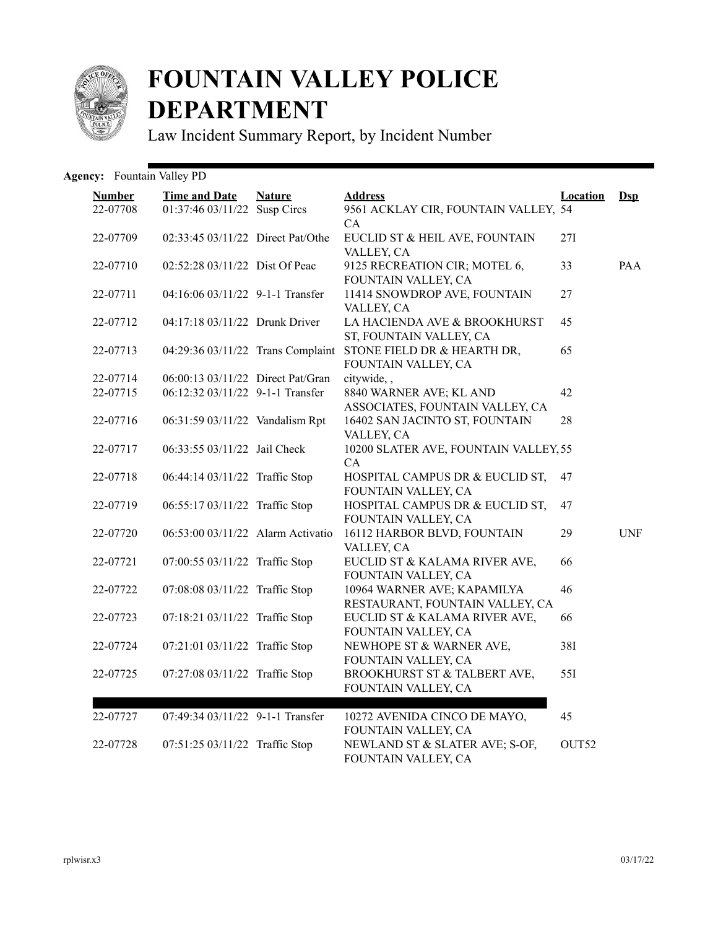

## **FOUNTAIN VALLEY POLICE DEPARTMENT**

Law Incident Summary Report, by Incident Number

## Agency: Fountain Valley PD

| <b>Number</b><br>22-07708 | <b>Time and Date</b><br>01:37:46 03/11/22 Susp Circs | <b>Nature</b> | <b>Address</b><br>9561 ACKLAY CIR, FOUNTAIN VALLEY, 54                       | <b>Location</b>   | $\mathbf{Dsp}$ |
|---------------------------|------------------------------------------------------|---------------|------------------------------------------------------------------------------|-------------------|----------------|
| 22-07709                  | 02:33:45 03/11/22 Direct Pat/Othe                    |               | CA<br>EUCLID ST & HEIL AVE, FOUNTAIN<br>VALLEY, CA                           | 27I               |                |
| 22-07710                  | 02:52:28 03/11/22 Dist Of Peac                       |               | 9125 RECREATION CIR; MOTEL 6,<br>FOUNTAIN VALLEY, CA                         | 33                | PAA            |
| 22-07711                  | $04:16:06$ $03/11/22$ 9-1-1 Transfer                 |               | 11414 SNOWDROP AVE, FOUNTAIN<br>VALLEY, CA                                   | 27                |                |
| 22-07712                  | 04:17:18 03/11/22 Drunk Driver                       |               | LA HACIENDA AVE & BROOKHURST<br>ST, FOUNTAIN VALLEY, CA                      | 45                |                |
| 22-07713                  | 04:29:36 03/11/22 Trans Complaint                    |               | STONE FIELD DR & HEARTH DR,<br>FOUNTAIN VALLEY, CA                           | 65                |                |
| 22-07714                  | 06:00:13 03/11/22 Direct Pat/Gran                    |               | citywide,,                                                                   |                   |                |
| 22-07715                  | 06:12:32 03/11/22 9-1-1 Transfer                     |               | 8840 WARNER AVE; KL AND                                                      | 42                |                |
| 22-07716                  | 06:31:59 03/11/22 Vandalism Rpt                      |               | ASSOCIATES, FOUNTAIN VALLEY, CA<br>16402 SAN JACINTO ST, FOUNTAIN            | 28                |                |
|                           |                                                      |               | VALLEY, CA                                                                   |                   |                |
| 22-07717                  | 06:33:55 03/11/22 Jail Check                         |               | 10200 SLATER AVE, FOUNTAIN VALLEY, 55<br>CA                                  |                   |                |
| 22-07718                  | 06:44:14 03/11/22 Traffic Stop                       |               | HOSPITAL CAMPUS DR & EUCLID ST,<br>FOUNTAIN VALLEY, CA                       | 47                |                |
| 22-07719                  | 06:55:17 03/11/22 Traffic Stop                       |               | HOSPITAL CAMPUS DR & EUCLID ST,<br>FOUNTAIN VALLEY, CA                       | 47                |                |
| 22-07720                  | 06:53:00 03/11/22 Alarm Activatio                    |               | 16112 HARBOR BLVD, FOUNTAIN                                                  | 29                | <b>UNF</b>     |
| 22-07721                  | 07:00:55 03/11/22 Traffic Stop                       |               | VALLEY, CA<br>EUCLID ST & KALAMA RIVER AVE,                                  | 66                |                |
| 22-07722                  | 07:08:08 03/11/22 Traffic Stop                       |               | FOUNTAIN VALLEY, CA<br>10964 WARNER AVE; KAPAMILYA                           | 46                |                |
| 22-07723                  | 07:18:21 03/11/22 Traffic Stop                       |               | RESTAURANT, FOUNTAIN VALLEY, CA<br>EUCLID ST & KALAMA RIVER AVE,             | 66                |                |
| 22-07724                  | 07:21:01 03/11/22 Traffic Stop                       |               | FOUNTAIN VALLEY, CA<br>NEWHOPE ST & WARNER AVE,                              | 38I               |                |
| 22-07725                  | 07:27:08 03/11/22 Traffic Stop                       |               | FOUNTAIN VALLEY, CA<br>BROOKHURST ST & TALBERT AVE,<br>FOUNTAIN VALLEY, CA   | 55I               |                |
| 22-07727                  | 07:49:34 03/11/22 9-1-1 Transfer                     |               | 10272 AVENIDA CINCO DE MAYO,                                                 | 45                |                |
| 22-07728                  | 07:51:25 03/11/22 Traffic Stop                       |               | FOUNTAIN VALLEY, CA<br>NEWLAND ST & SLATER AVE; S-OF,<br>FOUNTAIN VALLEY, CA | OUT <sub>52</sub> |                |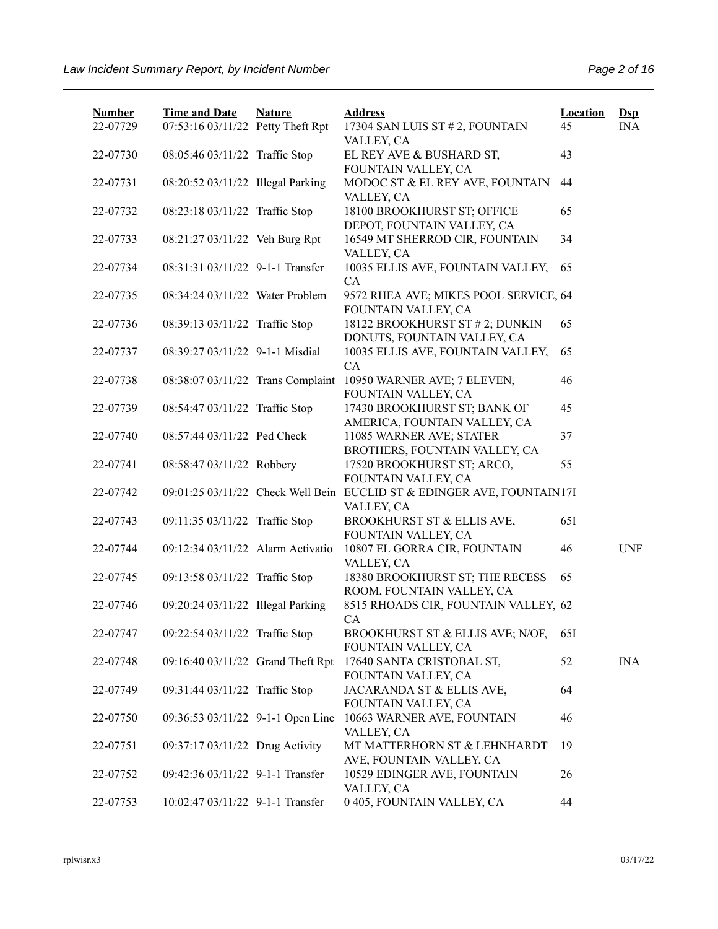| <b>Number</b> | <b>Time and Date</b>              | <b>Nature</b> | <b>Address</b>                                                         | <b>Location</b> | $\mathbf{Dsp}$ |
|---------------|-----------------------------------|---------------|------------------------------------------------------------------------|-----------------|----------------|
| 22-07729      | 07:53:16 03/11/22 Petty Theft Rpt |               | 17304 SAN LUIS ST # 2, FOUNTAIN<br>VALLEY, CA                          | 45              | <b>INA</b>     |
| 22-07730      | 08:05:46 03/11/22 Traffic Stop    |               | EL REY AVE & BUSHARD ST,                                               | 43              |                |
|               |                                   |               | FOUNTAIN VALLEY, CA                                                    |                 |                |
| 22-07731      | 08:20:52 03/11/22 Illegal Parking |               | MODOC ST & EL REY AVE, FOUNTAIN                                        | 44              |                |
|               |                                   |               | VALLEY, CA                                                             |                 |                |
| 22-07732      | 08:23:18 03/11/22 Traffic Stop    |               | 18100 BROOKHURST ST; OFFICE                                            | 65              |                |
|               |                                   |               | DEPOT, FOUNTAIN VALLEY, CA                                             |                 |                |
| 22-07733      | 08:21:27 03/11/22 Veh Burg Rpt    |               | 16549 MT SHERROD CIR, FOUNTAIN<br>VALLEY, CA                           | 34              |                |
| 22-07734      | 08:31:31 03/11/22 9-1-1 Transfer  |               | 10035 ELLIS AVE, FOUNTAIN VALLEY,                                      | 65              |                |
|               |                                   |               | CA                                                                     |                 |                |
| 22-07735      | 08:34:24 03/11/22 Water Problem   |               | 9572 RHEA AVE; MIKES POOL SERVICE, 64                                  |                 |                |
|               |                                   |               | FOUNTAIN VALLEY, CA                                                    |                 |                |
| 22-07736      | 08:39:13 03/11/22 Traffic Stop    |               | 18122 BROOKHURST ST # 2; DUNKIN                                        | 65              |                |
|               |                                   |               | DONUTS, FOUNTAIN VALLEY, CA                                            |                 |                |
| 22-07737      | 08:39:27 03/11/22 9-1-1 Misdial   |               | 10035 ELLIS AVE, FOUNTAIN VALLEY,                                      | 65              |                |
|               |                                   |               | CA                                                                     |                 |                |
| 22-07738      | 08:38:07 03/11/22 Trans Complaint |               | 10950 WARNER AVE; 7 ELEVEN,<br>FOUNTAIN VALLEY, CA                     | 46              |                |
| 22-07739      | 08:54:47 03/11/22 Traffic Stop    |               | 17430 BROOKHURST ST; BANK OF                                           | 45              |                |
|               |                                   |               | AMERICA, FOUNTAIN VALLEY, CA                                           |                 |                |
| 22-07740      | 08:57:44 03/11/22 Ped Check       |               | 11085 WARNER AVE; STATER                                               | 37              |                |
|               |                                   |               | BROTHERS, FOUNTAIN VALLEY, CA                                          |                 |                |
| 22-07741      | 08:58:47 03/11/22 Robbery         |               | 17520 BROOKHURST ST; ARCO,                                             | 55              |                |
|               |                                   |               | FOUNTAIN VALLEY, CA                                                    |                 |                |
| 22-07742      |                                   |               | 09:01:25 03/11/22 Check Well Bein EUCLID ST & EDINGER AVE, FOUNTAIN17I |                 |                |
| 22-07743      | 09:11:35 03/11/22 Traffic Stop    |               | VALLEY, CA<br>BROOKHURST ST & ELLIS AVE,                               | 65I             |                |
|               |                                   |               | FOUNTAIN VALLEY, CA                                                    |                 |                |
| 22-07744      | 09:12:34 03/11/22 Alarm Activatio |               | 10807 EL GORRA CIR, FOUNTAIN                                           | 46              | <b>UNF</b>     |
|               |                                   |               | VALLEY, CA                                                             |                 |                |
| 22-07745      | 09:13:58 03/11/22 Traffic Stop    |               | 18380 BROOKHURST ST; THE RECESS                                        | 65              |                |
|               |                                   |               | ROOM, FOUNTAIN VALLEY, CA                                              |                 |                |
| 22-07746      | 09:20:24 03/11/22 Illegal Parking |               | 8515 RHOADS CIR, FOUNTAIN VALLEY, 62                                   |                 |                |
|               |                                   |               | CA                                                                     |                 |                |
| 22-07747      | 09:22:54 03/11/22 Traffic Stop    |               | BROOKHURST ST & ELLIS AVE; N/OF,<br>FOUNTAIN VALLEY, CA                | 65I             |                |
| 22-07748      | 09:16:40 03/11/22 Grand Theft Rpt |               | 17640 SANTA CRISTOBAL ST,                                              | 52              | <b>INA</b>     |
|               |                                   |               | FOUNTAIN VALLEY, CA                                                    |                 |                |
| 22-07749      | 09:31:44 03/11/22 Traffic Stop    |               | JACARANDA ST & ELLIS AVE,                                              | 64              |                |
|               |                                   |               | FOUNTAIN VALLEY, CA                                                    |                 |                |
| 22-07750      | 09:36:53 03/11/22 9-1-1 Open Line |               | 10663 WARNER AVE, FOUNTAIN                                             | 46              |                |
|               |                                   |               | VALLEY, CA                                                             |                 |                |
| 22-07751      | 09:37:17 03/11/22 Drug Activity   |               | MT MATTERHORN ST & LEHNHARDT<br>AVE, FOUNTAIN VALLEY, CA               | 19              |                |
| 22-07752      | 09:42:36 03/11/22 9-1-1 Transfer  |               | 10529 EDINGER AVE, FOUNTAIN                                            | 26              |                |
|               |                                   |               | VALLEY, CA                                                             |                 |                |
| 22-07753      | 10:02:47 03/11/22 9-1-1 Transfer  |               | 0 405, FOUNTAIN VALLEY, CA                                             | 44              |                |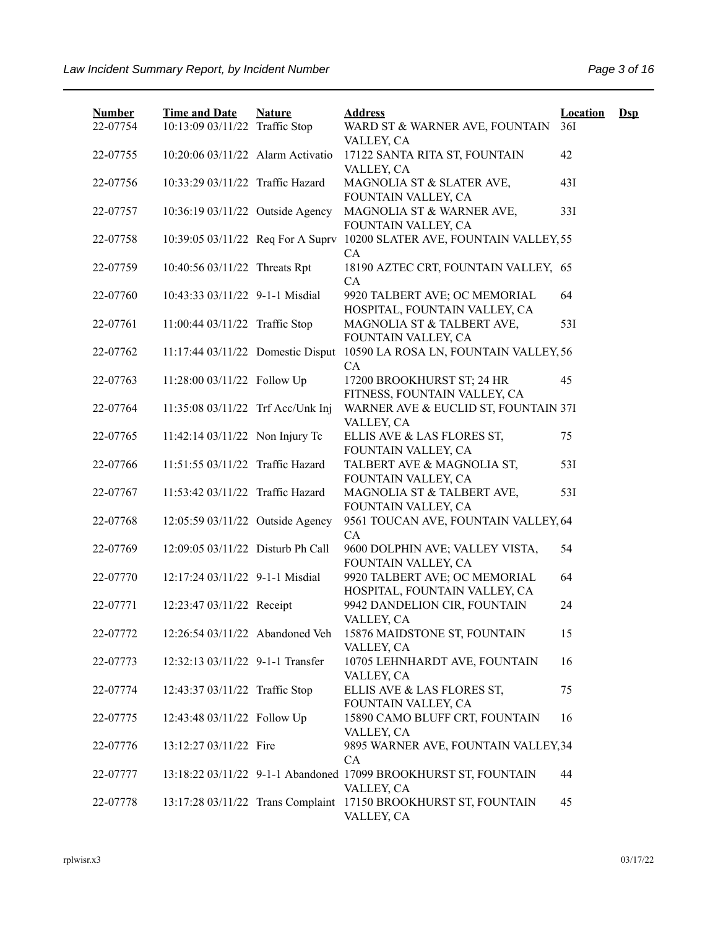| <b>Number</b> | <b>Time and Date</b>              | <b>Nature</b> | <b>Address</b>                                                                              | <b>Location</b> | $\mathbf{Dsp}$ |
|---------------|-----------------------------------|---------------|---------------------------------------------------------------------------------------------|-----------------|----------------|
| 22-07754      | 10:13:09 03/11/22 Traffic Stop    |               | WARD ST & WARNER AVE, FOUNTAIN<br>VALLEY, CA                                                | 36I             |                |
| 22-07755      | 10:20:06 03/11/22 Alarm Activatio |               | 17122 SANTA RITA ST, FOUNTAIN<br>VALLEY, CA                                                 | 42              |                |
| 22-07756      | 10:33:29 03/11/22 Traffic Hazard  |               | MAGNOLIA ST & SLATER AVE,<br>FOUNTAIN VALLEY, CA                                            | 43I             |                |
| 22-07757      | 10:36:19 03/11/22 Outside Agency  |               | MAGNOLIA ST & WARNER AVE,<br>FOUNTAIN VALLEY, CA                                            | 33I             |                |
| 22-07758      | 10:39:05 03/11/22 Req For A Suprv |               | 10200 SLATER AVE, FOUNTAIN VALLEY, 55<br><b>CA</b>                                          |                 |                |
| 22-07759      | 10:40:56 03/11/22 Threats Rpt     |               | 18190 AZTEC CRT, FOUNTAIN VALLEY, 65<br>CA                                                  |                 |                |
| 22-07760      | 10:43:33 03/11/22 9-1-1 Misdial   |               | 9920 TALBERT AVE; OC MEMORIAL<br>HOSPITAL, FOUNTAIN VALLEY, CA                              | 64              |                |
| 22-07761      | 11:00:44 03/11/22 Traffic Stop    |               | MAGNOLIA ST & TALBERT AVE,<br>FOUNTAIN VALLEY, CA                                           | 531             |                |
| 22-07762      | 11:17:44 03/11/22 Domestic Disput |               | 10590 LA ROSA LN, FOUNTAIN VALLEY, 56<br>CA                                                 |                 |                |
| 22-07763      | 11:28:00 03/11/22 Follow Up       |               | 17200 BROOKHURST ST; 24 HR<br>FITNESS, FOUNTAIN VALLEY, CA                                  | 45              |                |
| 22-07764      | 11:35:08 03/11/22 Trf Acc/Unk Inj |               | WARNER AVE & EUCLID ST, FOUNTAIN 37I<br>VALLEY, CA                                          |                 |                |
| 22-07765      | 11:42:14 03/11/22 Non Injury Tc   |               | ELLIS AVE & LAS FLORES ST,                                                                  | 75              |                |
| 22-07766      | 11:51:55 03/11/22 Traffic Hazard  |               | FOUNTAIN VALLEY, CA<br>TALBERT AVE & MAGNOLIA ST,                                           | 531             |                |
| 22-07767      | 11:53:42 03/11/22 Traffic Hazard  |               | FOUNTAIN VALLEY, CA<br>MAGNOLIA ST & TALBERT AVE,                                           | 53I             |                |
| 22-07768      | 12:05:59 03/11/22 Outside Agency  |               | FOUNTAIN VALLEY, CA<br>9561 TOUCAN AVE, FOUNTAIN VALLEY, 64                                 |                 |                |
| 22-07769      | 12:09:05 03/11/22 Disturb Ph Call |               | CA<br>9600 DOLPHIN AVE; VALLEY VISTA,                                                       | 54              |                |
| 22-07770      | 12:17:24 03/11/22 9-1-1 Misdial   |               | FOUNTAIN VALLEY, CA<br>9920 TALBERT AVE; OC MEMORIAL                                        | 64              |                |
| 22-07771      | 12:23:47 03/11/22 Receipt         |               | HOSPITAL, FOUNTAIN VALLEY, CA<br>9942 DANDELION CIR, FOUNTAIN                               | 24              |                |
| 22-07772      | 12:26:54 03/11/22 Abandoned Veh   |               | VALLEY, CA<br>15876 MAIDSTONE ST, FOUNTAIN                                                  | 15              |                |
| 22-07773      | 12:32:13 03/11/22 9-1-1 Transfer  |               | VALLEY, CA<br>10705 LEHNHARDT AVE, FOUNTAIN                                                 | 16              |                |
| 22-07774      | 12:43:37 03/11/22 Traffic Stop    |               | VALLEY, CA<br>ELLIS AVE & LAS FLORES ST,                                                    | 75              |                |
| 22-07775      | 12:43:48 03/11/22 Follow Up       |               | FOUNTAIN VALLEY, CA<br>15890 CAMO BLUFF CRT, FOUNTAIN                                       | 16              |                |
| 22-07776      | 13:12:27 03/11/22 Fire            |               | VALLEY, CA<br>9895 WARNER AVE, FOUNTAIN VALLEY, 34                                          |                 |                |
| 22-07777      |                                   |               | CA<br>13:18:22 03/11/22 9-1-1 Abandoned 17099 BROOKHURST ST, FOUNTAIN                       | 44              |                |
| 22-07778      |                                   |               | VALLEY, CA<br>13:17:28 03/11/22 Trans Complaint 17150 BROOKHURST ST, FOUNTAIN<br>VALLEY, CA | 45              |                |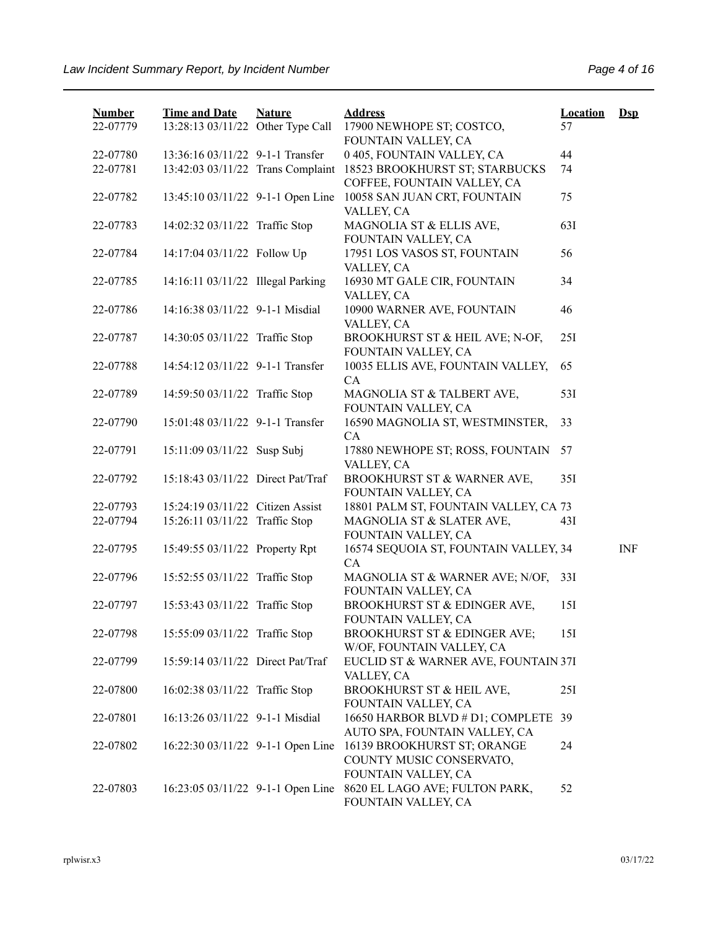| <b>Number</b> | <b>Time and Date</b>              | <b>Nature</b> | <b>Address</b>                                                                 | <b>Location</b> | $\mathbf{Dsp}$ |
|---------------|-----------------------------------|---------------|--------------------------------------------------------------------------------|-----------------|----------------|
| 22-07779      | 13:28:13 03/11/22 Other Type Call |               | 17900 NEWHOPE ST; COSTCO,<br>FOUNTAIN VALLEY, CA                               | 57              |                |
| 22-07780      | 13:36:16 03/11/22 9-1-1 Transfer  |               | 0 405, FOUNTAIN VALLEY, CA                                                     | 44              |                |
| 22-07781      | 13:42:03 03/11/22 Trans Complaint |               | 18523 BROOKHURST ST; STARBUCKS<br>COFFEE, FOUNTAIN VALLEY, CA                  | 74              |                |
| 22-07782      | 13:45:10 03/11/22 9-1-1 Open Line |               | 10058 SAN JUAN CRT, FOUNTAIN<br>VALLEY, CA                                     | 75              |                |
| 22-07783      | 14:02:32 03/11/22 Traffic Stop    |               | MAGNOLIA ST & ELLIS AVE,<br>FOUNTAIN VALLEY, CA                                | 63I             |                |
| 22-07784      | 14:17:04 03/11/22 Follow Up       |               | 17951 LOS VASOS ST, FOUNTAIN<br>VALLEY, CA                                     | 56              |                |
| 22-07785      | 14:16:11 03/11/22 Illegal Parking |               | 16930 MT GALE CIR, FOUNTAIN<br>VALLEY, CA                                      | 34              |                |
| 22-07786      | 14:16:38 03/11/22 9-1-1 Misdial   |               | 10900 WARNER AVE, FOUNTAIN<br>VALLEY, CA                                       | 46              |                |
| 22-07787      | 14:30:05 03/11/22 Traffic Stop    |               | BROOKHURST ST & HEIL AVE; N-OF,<br>FOUNTAIN VALLEY, CA                         | 251             |                |
| 22-07788      | 14:54:12 03/11/22 9-1-1 Transfer  |               | 10035 ELLIS AVE, FOUNTAIN VALLEY,<br>CA                                        | 65              |                |
| 22-07789      | 14:59:50 03/11/22 Traffic Stop    |               | MAGNOLIA ST & TALBERT AVE,<br>FOUNTAIN VALLEY, CA                              | 53I             |                |
| 22-07790      | 15:01:48 03/11/22 9-1-1 Transfer  |               | 16590 MAGNOLIA ST, WESTMINSTER,<br>CA                                          | 33              |                |
| 22-07791      | 15:11:09 03/11/22 Susp Subj       |               | 17880 NEWHOPE ST; ROSS, FOUNTAIN<br>VALLEY, CA                                 | 57              |                |
| 22-07792      | 15:18:43 03/11/22 Direct Pat/Traf |               | BROOKHURST ST & WARNER AVE,<br>FOUNTAIN VALLEY, CA                             | 35I             |                |
| 22-07793      | 15:24:19 03/11/22 Citizen Assist  |               | 18801 PALM ST, FOUNTAIN VALLEY, CA 73                                          |                 |                |
| 22-07794      | 15:26:11 03/11/22 Traffic Stop    |               | MAGNOLIA ST & SLATER AVE,<br>FOUNTAIN VALLEY, CA                               | 43I             |                |
| 22-07795      | 15:49:55 03/11/22 Property Rpt    |               | 16574 SEQUOIA ST, FOUNTAIN VALLEY, 34<br>CA                                    |                 | <b>INF</b>     |
| 22-07796      | 15:52:55 03/11/22 Traffic Stop    |               | MAGNOLIA ST & WARNER AVE; N/OF,<br>FOUNTAIN VALLEY, CA                         | 33I             |                |
| 22-07797      | 15:53:43 03/11/22 Traffic Stop    |               | BROOKHURST ST & EDINGER AVE,<br>FOUNTAIN VALLEY, CA                            | 15I             |                |
| 22-07798      | 15:55:09 03/11/22 Traffic Stop    |               | BROOKHURST ST & EDINGER AVE;<br>W/OF, FOUNTAIN VALLEY, CA                      | 15I             |                |
| 22-07799      | 15:59:14 03/11/22 Direct Pat/Traf |               | EUCLID ST & WARNER AVE, FOUNTAIN 37I<br>VALLEY, CA                             |                 |                |
| 22-07800      | 16:02:38 03/11/22 Traffic Stop    |               | BROOKHURST ST & HEIL AVE,<br>FOUNTAIN VALLEY, CA                               | 25I             |                |
| 22-07801      | 16:13:26 03/11/22 9-1-1 Misdial   |               | 16650 HARBOR BLVD # D1; COMPLETE 39<br>AUTO SPA, FOUNTAIN VALLEY, CA           |                 |                |
| 22-07802      | 16:22:30 03/11/22 9-1-1 Open Line |               | 16139 BROOKHURST ST; ORANGE<br>COUNTY MUSIC CONSERVATO,<br>FOUNTAIN VALLEY, CA | 24              |                |
| 22-07803      | 16:23:05 03/11/22 9-1-1 Open Line |               | 8620 EL LAGO AVE; FULTON PARK,<br>FOUNTAIN VALLEY, CA                          | 52              |                |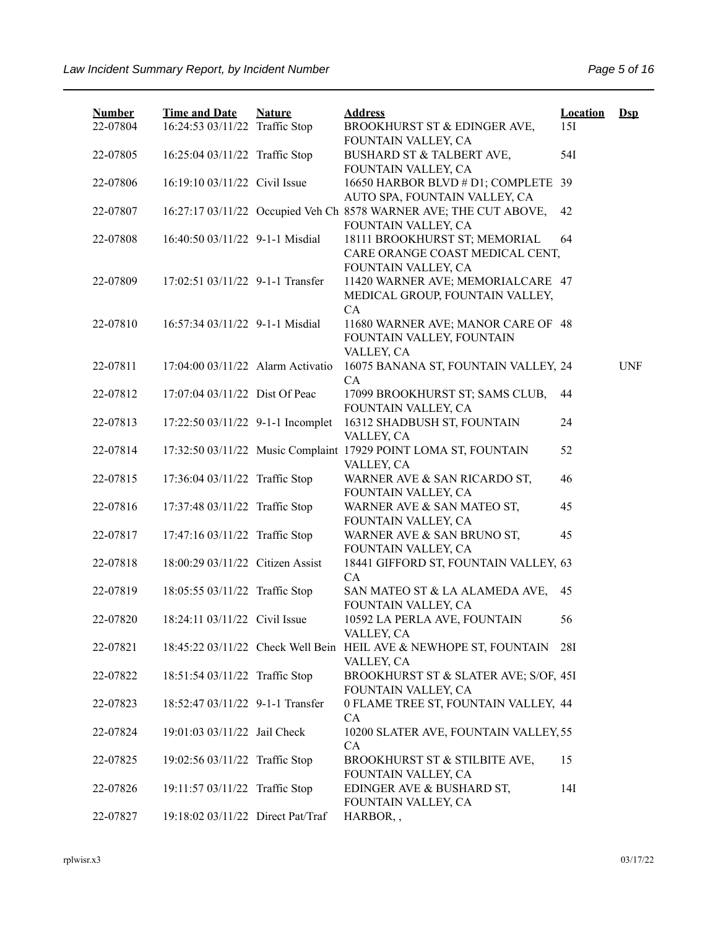| <b>Number</b><br>22-07804 | <b>Time and Date</b><br>16:24:53 03/11/22 Traffic Stop | <b>Nature</b> | <b>Address</b><br>BROOKHURST ST & EDINGER AVE,                                                     | <b>Location</b><br>15I | $\mathbf{Dsp}$ |
|---------------------------|--------------------------------------------------------|---------------|----------------------------------------------------------------------------------------------------|------------------------|----------------|
|                           |                                                        |               | FOUNTAIN VALLEY, CA                                                                                |                        |                |
| 22-07805                  | 16:25:04 03/11/22 Traffic Stop                         |               | BUSHARD ST & TALBERT AVE,<br>FOUNTAIN VALLEY, CA                                                   | 54I                    |                |
| 22-07806                  | 16:19:10 03/11/22 Civil Issue                          |               | 16650 HARBOR BLVD # D1; COMPLETE 39                                                                |                        |                |
| 22-07807                  |                                                        |               | AUTO SPA, FOUNTAIN VALLEY, CA<br>16:27:17 03/11/22 Occupied Veh Ch 8578 WARNER AVE; THE CUT ABOVE, | 42                     |                |
|                           |                                                        |               | FOUNTAIN VALLEY, CA                                                                                |                        |                |
| 22-07808                  | 16:40:50 03/11/22 9-1-1 Misdial                        |               | 18111 BROOKHURST ST; MEMORIAL<br>CARE ORANGE COAST MEDICAL CENT,                                   | 64                     |                |
|                           |                                                        |               | FOUNTAIN VALLEY, CA                                                                                |                        |                |
| 22-07809                  | 17:02:51 03/11/22 9-1-1 Transfer                       |               | 11420 WARNER AVE; MEMORIALCARE 47                                                                  |                        |                |
|                           |                                                        |               | MEDICAL GROUP, FOUNTAIN VALLEY,                                                                    |                        |                |
| 22-07810                  | 16:57:34 03/11/22 9-1-1 Misdial                        |               | CA<br>11680 WARNER AVE; MANOR CARE OF 48                                                           |                        |                |
|                           |                                                        |               | FOUNTAIN VALLEY, FOUNTAIN                                                                          |                        |                |
|                           |                                                        |               | VALLEY, CA                                                                                         |                        |                |
| 22-07811                  | 17:04:00 03/11/22 Alarm Activatio                      |               | 16075 BANANA ST, FOUNTAIN VALLEY, 24                                                               |                        | <b>UNF</b>     |
|                           |                                                        |               | CA                                                                                                 |                        |                |
| 22-07812                  | 17:07:04 03/11/22 Dist Of Peac                         |               | 17099 BROOKHURST ST; SAMS CLUB,                                                                    | 44                     |                |
|                           |                                                        |               | FOUNTAIN VALLEY, CA                                                                                |                        |                |
| 22-07813                  | 17:22:50 03/11/22 9-1-1 Incomplet                      |               | 16312 SHADBUSH ST, FOUNTAIN                                                                        | 24                     |                |
|                           |                                                        |               | VALLEY, CA                                                                                         |                        |                |
| 22-07814                  |                                                        |               | 17:32:50 03/11/22 Music Complaint 17929 POINT LOMA ST, FOUNTAIN                                    | 52                     |                |
|                           |                                                        |               | VALLEY, CA                                                                                         |                        |                |
| 22-07815                  | 17:36:04 03/11/22 Traffic Stop                         |               | WARNER AVE & SAN RICARDO ST,                                                                       | 46                     |                |
|                           |                                                        |               | FOUNTAIN VALLEY, CA                                                                                |                        |                |
| 22-07816                  | 17:37:48 03/11/22 Traffic Stop                         |               | WARNER AVE & SAN MATEO ST,                                                                         | 45                     |                |
|                           |                                                        |               | FOUNTAIN VALLEY, CA                                                                                |                        |                |
| 22-07817                  | 17:47:16 03/11/22 Traffic Stop                         |               | WARNER AVE & SAN BRUNO ST,                                                                         | 45                     |                |
|                           |                                                        |               | FOUNTAIN VALLEY, CA                                                                                |                        |                |
| 22-07818                  | 18:00:29 03/11/22 Citizen Assist                       |               | 18441 GIFFORD ST, FOUNTAIN VALLEY, 63                                                              |                        |                |
|                           |                                                        |               | CA                                                                                                 |                        |                |
| 22-07819                  | 18:05:55 03/11/22 Traffic Stop                         |               | SAN MATEO ST & LA ALAMEDA AVE,<br>FOUNTAIN VALLEY, CA                                              | 45                     |                |
| 22-07820                  | 18:24:11 03/11/22 Civil Issue                          |               | 10592 LA PERLA AVE, FOUNTAIN                                                                       | 56                     |                |
|                           |                                                        |               | VALLEY, CA                                                                                         |                        |                |
| 22-07821                  |                                                        |               | 18:45:22 03/11/22 Check Well Bein HEIL AVE & NEWHOPE ST, FOUNTAIN                                  | 28I                    |                |
|                           |                                                        |               | VALLEY, CA                                                                                         |                        |                |
| 22-07822                  | 18:51:54 03/11/22 Traffic Stop                         |               | BROOKHURST ST & SLATER AVE; S/OF, 45I                                                              |                        |                |
|                           |                                                        |               | FOUNTAIN VALLEY, CA                                                                                |                        |                |
| 22-07823                  | 18:52:47 03/11/22 9-1-1 Transfer                       |               | 0 FLAME TREE ST, FOUNTAIN VALLEY, 44                                                               |                        |                |
|                           |                                                        |               | CA                                                                                                 |                        |                |
| 22-07824                  | 19:01:03 03/11/22 Jail Check                           |               | 10200 SLATER AVE, FOUNTAIN VALLEY, 55                                                              |                        |                |
|                           |                                                        |               | CA                                                                                                 |                        |                |
| 22-07825                  | 19:02:56 03/11/22 Traffic Stop                         |               | BROOKHURST ST & STILBITE AVE,                                                                      | 15                     |                |
|                           |                                                        |               | FOUNTAIN VALLEY, CA                                                                                |                        |                |
| 22-07826                  | 19:11:57 03/11/22 Traffic Stop                         |               | EDINGER AVE & BUSHARD ST,                                                                          | 14I                    |                |
|                           |                                                        |               | FOUNTAIN VALLEY, CA                                                                                |                        |                |
| 22-07827                  | 19:18:02 03/11/22 Direct Pat/Traf                      |               | HARBOR,,                                                                                           |                        |                |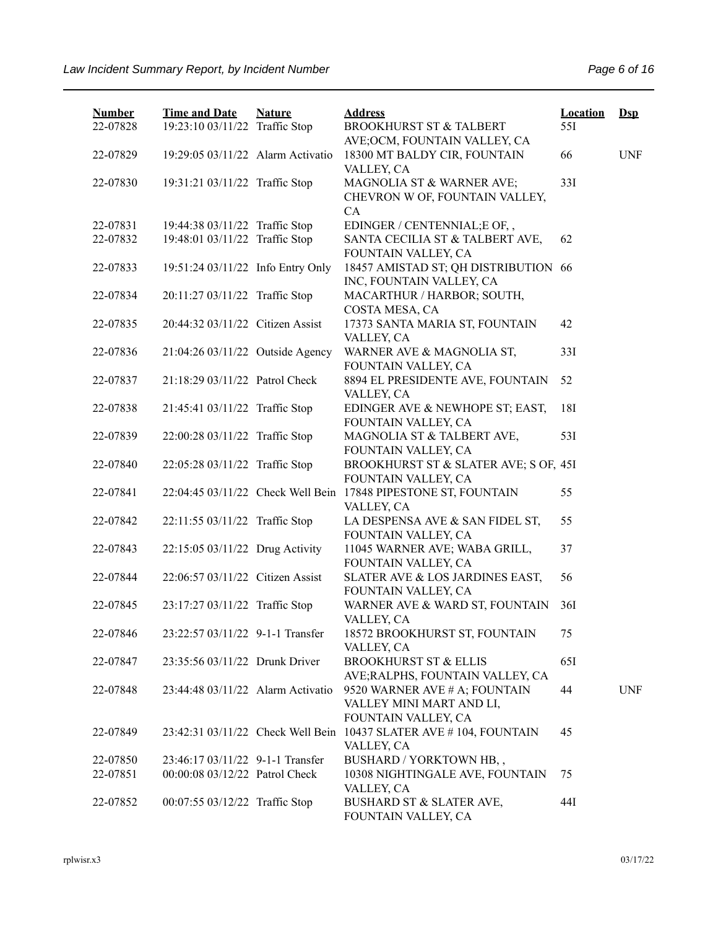| <b>Number</b><br>22-07828 | <b>Time and Date</b><br>19:23:10 03/11/22 Traffic Stop | <b>Nature</b> | <b>Address</b><br><b>BROOKHURST ST &amp; TALBERT</b><br>AVE; OCM, FOUNTAIN VALLEY, CA | <b>Location</b><br>55I | $\mathbf{Dsp}$ |
|---------------------------|--------------------------------------------------------|---------------|---------------------------------------------------------------------------------------|------------------------|----------------|
| 22-07829                  | 19:29:05 03/11/22 Alarm Activatio                      |               | 18300 MT BALDY CIR, FOUNTAIN<br>VALLEY, CA                                            | 66                     | <b>UNF</b>     |
| 22-07830                  | 19:31:21 03/11/22 Traffic Stop                         |               | MAGNOLIA ST & WARNER AVE;<br>CHEVRON W OF, FOUNTAIN VALLEY,<br>CA                     | 33I                    |                |
| 22-07831                  | 19:44:38 03/11/22 Traffic Stop                         |               | EDINGER / CENTENNIAL; E OF,,                                                          |                        |                |
| 22-07832                  | 19:48:01 03/11/22 Traffic Stop                         |               | SANTA CECILIA ST & TALBERT AVE,<br>FOUNTAIN VALLEY, CA                                | 62                     |                |
| 22-07833                  | 19:51:24 03/11/22 Info Entry Only                      |               | 18457 AMISTAD ST; QH DISTRIBUTION 66<br>INC, FOUNTAIN VALLEY, CA                      |                        |                |
| 22-07834                  | 20:11:27 03/11/22 Traffic Stop                         |               | MACARTHUR / HARBOR; SOUTH,<br>COSTA MESA, CA                                          |                        |                |
| 22-07835                  | 20:44:32 03/11/22 Citizen Assist                       |               | 17373 SANTA MARIA ST, FOUNTAIN<br>VALLEY, CA                                          | 42                     |                |
| 22-07836                  | 21:04:26 03/11/22 Outside Agency                       |               | WARNER AVE & MAGNOLIA ST,<br>FOUNTAIN VALLEY, CA                                      | 33I                    |                |
| 22-07837                  | 21:18:29 03/11/22 Patrol Check                         |               | 8894 EL PRESIDENTE AVE, FOUNTAIN<br>VALLEY, CA                                        | 52                     |                |
| 22-07838                  | 21:45:41 03/11/22 Traffic Stop                         |               | EDINGER AVE & NEWHOPE ST; EAST,<br>FOUNTAIN VALLEY, CA                                | 18I                    |                |
| 22-07839                  | 22:00:28 03/11/22 Traffic Stop                         |               | MAGNOLIA ST & TALBERT AVE,<br>FOUNTAIN VALLEY, CA                                     | 53I                    |                |
| 22-07840                  | 22:05:28 03/11/22 Traffic Stop                         |               | BROOKHURST ST & SLATER AVE; S OF, 45I<br>FOUNTAIN VALLEY, CA                          |                        |                |
| 22-07841                  |                                                        |               | 22:04:45 03/11/22 Check Well Bein 17848 PIPESTONE ST, FOUNTAIN<br>VALLEY, CA          | 55                     |                |
| 22-07842                  | 22:11:55 03/11/22 Traffic Stop                         |               | LA DESPENSA AVE & SAN FIDEL ST,<br>FOUNTAIN VALLEY, CA                                | 55                     |                |
| 22-07843                  | 22:15:05 03/11/22 Drug Activity                        |               | 11045 WARNER AVE; WABA GRILL,<br>FOUNTAIN VALLEY, CA                                  | 37                     |                |
| 22-07844                  | 22:06:57 03/11/22 Citizen Assist                       |               | SLATER AVE & LOS JARDINES EAST,<br>FOUNTAIN VALLEY, CA                                | 56                     |                |
| 22-07845                  | 23:17:27 03/11/22 Traffic Stop                         |               | WARNER AVE & WARD ST, FOUNTAIN<br>VALLEY, CA                                          | 36I                    |                |
| 22-07846                  | 23:22:57 03/11/22 9-1-1 Transfer                       |               | 18572 BROOKHURST ST, FOUNTAIN<br>VALLEY, CA                                           | 75                     |                |
| 22-07847                  | 23:35:56 03/11/22 Drunk Driver                         |               | <b>BROOKHURST ST &amp; ELLIS</b><br>AVE; RALPHS, FOUNTAIN VALLEY, CA                  | 65I                    |                |
| 22-07848                  | 23:44:48 03/11/22 Alarm Activatio                      |               | 9520 WARNER AVE # A; FOUNTAIN<br>VALLEY MINI MART AND LI,<br>FOUNTAIN VALLEY, CA      | 44                     | <b>UNF</b>     |
| 22-07849                  |                                                        |               | 23:42:31 03/11/22 Check Well Bein 10437 SLATER AVE #104, FOUNTAIN<br>VALLEY, CA       | 45                     |                |
| 22-07850                  | 23:46:17 03/11/22 9-1-1 Transfer                       |               | BUSHARD / YORKTOWN HB,,                                                               |                        |                |
| 22-07851                  | 00:00:08 03/12/22 Patrol Check                         |               | 10308 NIGHTINGALE AVE, FOUNTAIN<br>VALLEY, CA                                         | 75                     |                |
| 22-07852                  | 00:07:55 03/12/22 Traffic Stop                         |               | BUSHARD ST & SLATER AVE,<br>FOUNTAIN VALLEY, CA                                       | 44I                    |                |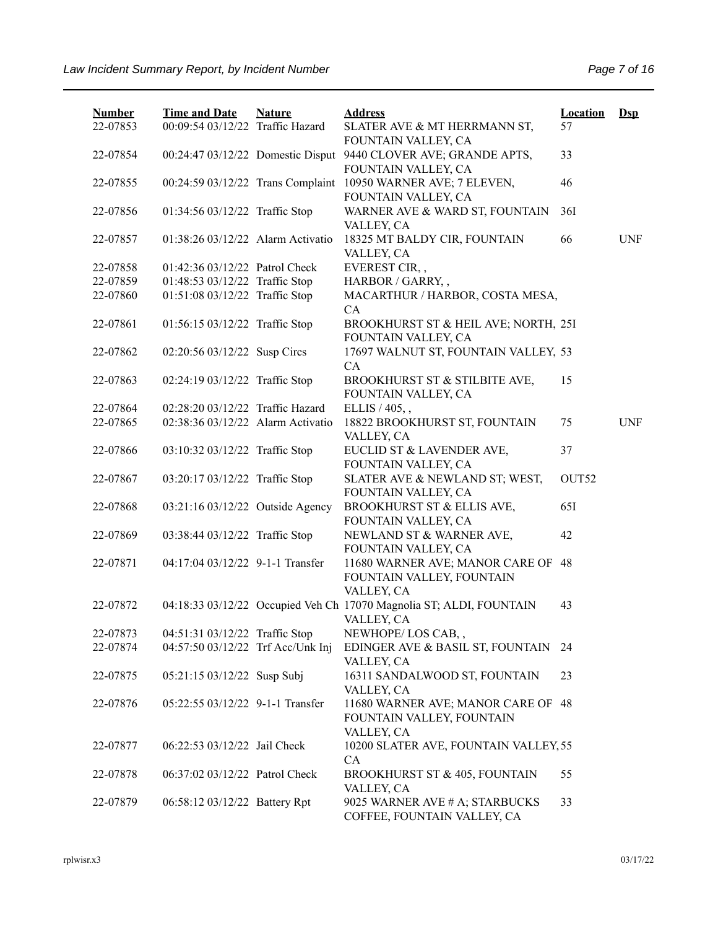| <b>Number</b> | <b>Time and Date</b>              | <b>Nature</b> | <b>Address</b>                                                                    | <b>Location</b> | $Dep$      |
|---------------|-----------------------------------|---------------|-----------------------------------------------------------------------------------|-----------------|------------|
| 22-07853      | 00:09:54 03/12/22 Traffic Hazard  |               | SLATER AVE & MT HERRMANN ST,<br>FOUNTAIN VALLEY, CA                               | 57              |            |
| 22-07854      | 00:24:47 03/12/22 Domestic Disput |               | 9440 CLOVER AVE; GRANDE APTS,<br>FOUNTAIN VALLEY, CA                              | 33              |            |
| 22-07855      | 00:24:59 03/12/22 Trans Complaint |               | 10950 WARNER AVE; 7 ELEVEN,<br>FOUNTAIN VALLEY, CA                                | 46              |            |
| 22-07856      | 01:34:56 03/12/22 Traffic Stop    |               | WARNER AVE & WARD ST, FOUNTAIN<br>VALLEY, CA                                      | 36I             |            |
| 22-07857      | 01:38:26 03/12/22 Alarm Activatio |               | 18325 MT BALDY CIR, FOUNTAIN<br>VALLEY, CA                                        | 66              | <b>UNF</b> |
| 22-07858      | 01:42:36 03/12/22 Patrol Check    |               | EVEREST CIR,,                                                                     |                 |            |
| 22-07859      | 01:48:53 03/12/22 Traffic Stop    |               | HARBOR / GARRY,,                                                                  |                 |            |
| 22-07860      | 01:51:08 03/12/22 Traffic Stop    |               | MACARTHUR / HARBOR, COSTA MESA,<br>CA                                             |                 |            |
| 22-07861      | 01:56:15 03/12/22 Traffic Stop    |               | BROOKHURST ST & HEIL AVE; NORTH, 25I<br>FOUNTAIN VALLEY, CA                       |                 |            |
| 22-07862      | 02:20:56 03/12/22 Susp Circs      |               | 17697 WALNUT ST, FOUNTAIN VALLEY, 53<br>CA                                        |                 |            |
| 22-07863      | 02:24:19 03/12/22 Traffic Stop    |               | BROOKHURST ST & STILBITE AVE,<br>FOUNTAIN VALLEY, CA                              | 15              |            |
| 22-07864      | 02:28:20 03/12/22 Traffic Hazard  |               | ELLIS / 405, ,                                                                    |                 |            |
| 22-07865      | 02:38:36 03/12/22 Alarm Activatio |               | 18822 BROOKHURST ST, FOUNTAIN<br>VALLEY, CA                                       | 75              | <b>UNF</b> |
| 22-07866      | 03:10:32 03/12/22 Traffic Stop    |               | EUCLID ST & LAVENDER AVE,<br>FOUNTAIN VALLEY, CA                                  | 37              |            |
| 22-07867      | 03:20:17 03/12/22 Traffic Stop    |               | SLATER AVE & NEWLAND ST; WEST,<br>FOUNTAIN VALLEY, CA                             | OUT52           |            |
| 22-07868      | 03:21:16 03/12/22 Outside Agency  |               | BROOKHURST ST & ELLIS AVE,<br>FOUNTAIN VALLEY, CA                                 | 65I             |            |
| 22-07869      | 03:38:44 03/12/22 Traffic Stop    |               | NEWLAND ST & WARNER AVE,<br>FOUNTAIN VALLEY, CA                                   | 42              |            |
| 22-07871      | 04:17:04 03/12/22 9-1-1 Transfer  |               | 11680 WARNER AVE; MANOR CARE OF<br>FOUNTAIN VALLEY, FOUNTAIN<br>VALLEY, CA        | 48              |            |
| 22-07872      |                                   |               | 04:18:33 03/12/22 Occupied Veh Ch 17070 Magnolia ST; ALDI, FOUNTAIN<br>VALLEY, CA | 43              |            |
| 22-07873      | 04:51:31 03/12/22 Traffic Stop    |               | NEWHOPE/LOS CAB,,                                                                 |                 |            |
| 22-07874      | 04:57:50 03/12/22 Trf Acc/Unk Inj |               | EDINGER AVE & BASIL ST, FOUNTAIN<br>VALLEY, CA                                    | -24             |            |
| 22-07875      | 05:21:15 03/12/22 Susp Subj       |               | 16311 SANDALWOOD ST, FOUNTAIN<br>VALLEY, CA                                       | 23              |            |
| 22-07876      | 05:22:55 03/12/22 9-1-1 Transfer  |               | 11680 WARNER AVE; MANOR CARE OF 48<br>FOUNTAIN VALLEY, FOUNTAIN<br>VALLEY, CA     |                 |            |
| 22-07877      | 06:22:53 03/12/22 Jail Check      |               | 10200 SLATER AVE, FOUNTAIN VALLEY, 55<br>CA                                       |                 |            |
| 22-07878      | 06:37:02 03/12/22 Patrol Check    |               | <b>BROOKHURST ST &amp; 405, FOUNTAIN</b><br>VALLEY, CA                            | 55              |            |
| 22-07879      | 06:58:12 03/12/22 Battery Rpt     |               | 9025 WARNER AVE # A; STARBUCKS<br>COFFEE, FOUNTAIN VALLEY, CA                     | 33              |            |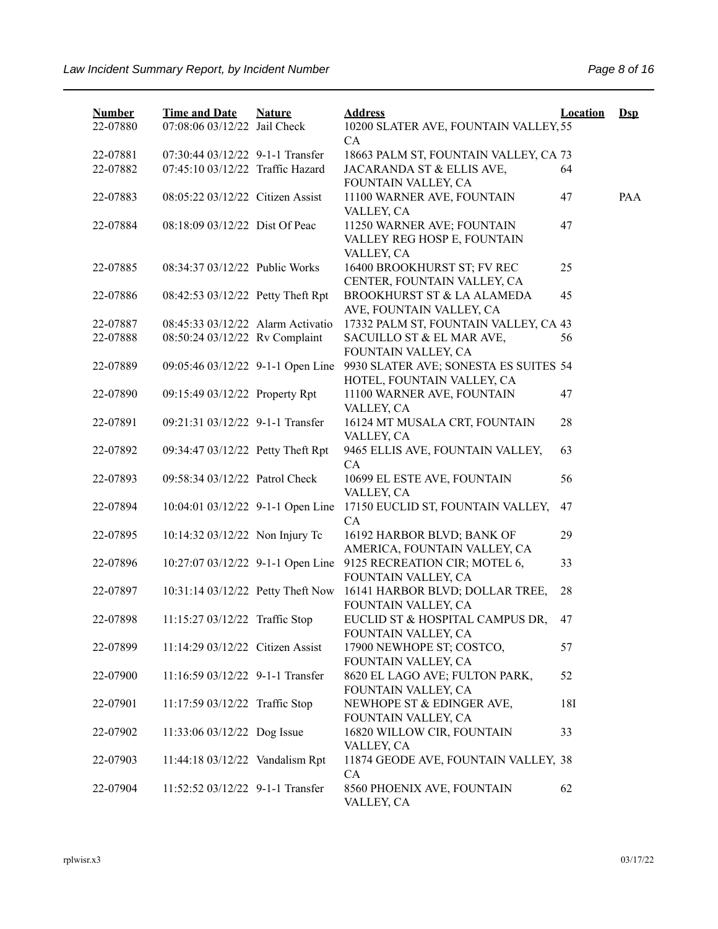| <b>Number</b> | <b>Time and Date</b>              | <b>Nature</b> | <b>Address</b>                                                          | <b>Location</b> | $Dep$ |
|---------------|-----------------------------------|---------------|-------------------------------------------------------------------------|-----------------|-------|
| 22-07880      | 07:08:06 03/12/22 Jail Check      |               | 10200 SLATER AVE, FOUNTAIN VALLEY, 55                                   |                 |       |
|               |                                   |               | CA                                                                      |                 |       |
| 22-07881      | 07:30:44 03/12/22 9-1-1 Transfer  |               | 18663 PALM ST, FOUNTAIN VALLEY, CA 73                                   |                 |       |
| 22-07882      | 07:45:10 03/12/22 Traffic Hazard  |               | JACARANDA ST & ELLIS AVE,<br>FOUNTAIN VALLEY, CA                        | 64              |       |
| 22-07883      | 08:05:22 03/12/22 Citizen Assist  |               | 11100 WARNER AVE, FOUNTAIN<br>VALLEY, CA                                | 47              | PAA   |
| 22-07884      | 08:18:09 03/12/22 Dist Of Peac    |               | 11250 WARNER AVE; FOUNTAIN<br>VALLEY REG HOSP E, FOUNTAIN<br>VALLEY, CA | 47              |       |
| 22-07885      | 08:34:37 03/12/22 Public Works    |               | 16400 BROOKHURST ST; FV REC<br>CENTER, FOUNTAIN VALLEY, CA              | 25              |       |
| 22-07886      | 08:42:53 03/12/22 Petty Theft Rpt |               | BROOKHURST ST & LA ALAMEDA<br>AVE, FOUNTAIN VALLEY, CA                  | 45              |       |
| 22-07887      | 08:45:33 03/12/22 Alarm Activatio |               | 17332 PALM ST, FOUNTAIN VALLEY, CA 43                                   |                 |       |
| 22-07888      | 08:50:24 03/12/22 Rv Complaint    |               | SACUILLO ST & EL MAR AVE,                                               | 56              |       |
|               |                                   |               | FOUNTAIN VALLEY, CA                                                     |                 |       |
| 22-07889      | 09:05:46 03/12/22 9-1-1 Open Line |               | 9930 SLATER AVE; SONESTA ES SUITES 54<br>HOTEL, FOUNTAIN VALLEY, CA     |                 |       |
| 22-07890      | 09:15:49 03/12/22 Property Rpt    |               | 11100 WARNER AVE, FOUNTAIN<br>VALLEY, CA                                | 47              |       |
| 22-07891      | 09:21:31 03/12/22 9-1-1 Transfer  |               | 16124 MT MUSALA CRT, FOUNTAIN<br>VALLEY, CA                             | 28              |       |
| 22-07892      | 09:34:47 03/12/22 Petty Theft Rpt |               | 9465 ELLIS AVE, FOUNTAIN VALLEY,<br>CA                                  | 63              |       |
| 22-07893      | 09:58:34 03/12/22 Patrol Check    |               | 10699 EL ESTE AVE, FOUNTAIN<br>VALLEY, CA                               | 56              |       |
| 22-07894      | 10:04:01 03/12/22 9-1-1 Open Line |               | 17150 EUCLID ST, FOUNTAIN VALLEY,<br>CA                                 | 47              |       |
| 22-07895      | 10:14:32 03/12/22 Non Injury Tc   |               | 16192 HARBOR BLVD; BANK OF<br>AMERICA, FOUNTAIN VALLEY, CA              | 29              |       |
| 22-07896      | 10:27:07 03/12/22 9-1-1 Open Line |               | 9125 RECREATION CIR; MOTEL 6,<br>FOUNTAIN VALLEY, CA                    | 33              |       |
| 22-07897      | 10:31:14 03/12/22 Petty Theft Now |               | 16141 HARBOR BLVD; DOLLAR TREE,<br>FOUNTAIN VALLEY, CA                  | 28              |       |
| 22-07898      | 11:15:27 03/12/22 Traffic Stop    |               | EUCLID ST & HOSPITAL CAMPUS DR,<br>FOUNTAIN VALLEY, CA                  | 47              |       |
| 22-07899      | 11:14:29 03/12/22 Citizen Assist  |               | 17900 NEWHOPE ST; COSTCO,<br>FOUNTAIN VALLEY, CA                        | 57              |       |
| 22-07900      | 11:16:59 03/12/22 9-1-1 Transfer  |               | 8620 EL LAGO AVE; FULTON PARK,<br>FOUNTAIN VALLEY, CA                   | 52              |       |
| 22-07901      | 11:17:59 03/12/22 Traffic Stop    |               | NEWHOPE ST & EDINGER AVE,<br>FOUNTAIN VALLEY, CA                        | 18I             |       |
| 22-07902      | 11:33:06 03/12/22 Dog Issue       |               | 16820 WILLOW CIR, FOUNTAIN<br>VALLEY, CA                                | 33              |       |
| 22-07903      | 11:44:18 03/12/22 Vandalism Rpt   |               | 11874 GEODE AVE, FOUNTAIN VALLEY, 38<br>CA                              |                 |       |
| 22-07904      | 11:52:52 03/12/22 9-1-1 Transfer  |               | 8560 PHOENIX AVE, FOUNTAIN<br>VALLEY, CA                                | 62              |       |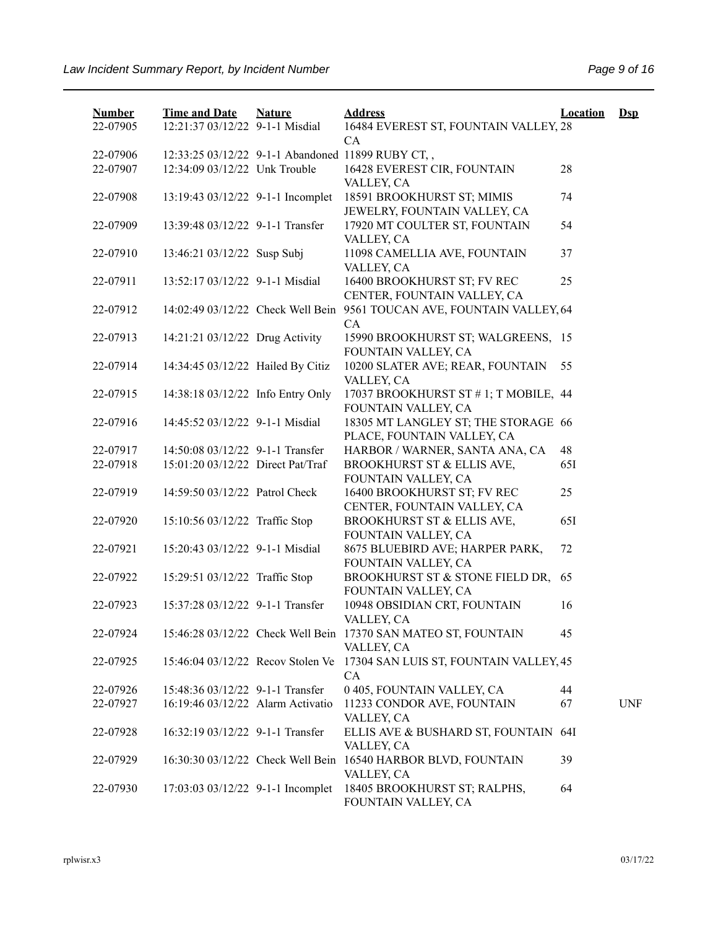| <b>Number</b><br>22-07905 | <b>Time and Date</b><br>12:21:37 03/12/22 9-1-1 Misdial | <b>Nature</b> | <b>Address</b><br>16484 EVEREST ST, FOUNTAIN VALLEY, 28                      | <b>Location</b> | $DsD$      |
|---------------------------|---------------------------------------------------------|---------------|------------------------------------------------------------------------------|-----------------|------------|
|                           |                                                         |               | CA                                                                           |                 |            |
| 22-07906                  |                                                         |               | 12:33:25 03/12/22 9-1-1 Abandoned 11899 RUBY CT,,                            |                 |            |
| 22-07907                  | 12:34:09 03/12/22 Unk Trouble                           |               | 16428 EVEREST CIR, FOUNTAIN                                                  | 28              |            |
|                           |                                                         |               | VALLEY, CA                                                                   |                 |            |
| 22-07908                  | 13:19:43 03/12/22 9-1-1 Incomplet                       |               | 18591 BROOKHURST ST; MIMIS                                                   | 74              |            |
|                           |                                                         |               | JEWELRY, FOUNTAIN VALLEY, CA                                                 |                 |            |
| 22-07909                  | 13:39:48 03/12/22 9-1-1 Transfer                        |               | 17920 MT COULTER ST, FOUNTAIN                                                | 54              |            |
|                           |                                                         |               | VALLEY, CA                                                                   |                 |            |
| 22-07910                  | 13:46:21 03/12/22 Susp Subj                             |               | 11098 CAMELLIA AVE, FOUNTAIN                                                 | 37              |            |
|                           |                                                         |               | VALLEY, CA                                                                   |                 |            |
| 22-07911                  | 13:52:17 03/12/22 9-1-1 Misdial                         |               | 16400 BROOKHURST ST; FV REC                                                  | 25              |            |
|                           |                                                         |               | CENTER, FOUNTAIN VALLEY, CA                                                  |                 |            |
| 22-07912                  |                                                         |               | 14:02:49 03/12/22 Check Well Bein 9561 TOUCAN AVE, FOUNTAIN VALLEY, 64       |                 |            |
|                           |                                                         |               | CA                                                                           |                 |            |
| 22-07913                  | 14:21:21 03/12/22 Drug Activity                         |               | 15990 BROOKHURST ST; WALGREENS, 15                                           |                 |            |
|                           |                                                         |               | FOUNTAIN VALLEY, CA                                                          |                 |            |
| 22-07914                  | 14:34:45 03/12/22 Hailed By Citiz                       |               | 10200 SLATER AVE; REAR, FOUNTAIN                                             | 55              |            |
|                           |                                                         |               | VALLEY, CA                                                                   |                 |            |
| 22-07915                  | 14:38:18 03/12/22 Info Entry Only                       |               | 17037 BROOKHURST ST #1; T MOBILE, 44                                         |                 |            |
|                           |                                                         |               | FOUNTAIN VALLEY, CA                                                          |                 |            |
| 22-07916                  | 14:45:52 03/12/22 9-1-1 Misdial                         |               | 18305 MT LANGLEY ST; THE STORAGE 66                                          |                 |            |
|                           |                                                         |               | PLACE, FOUNTAIN VALLEY, CA                                                   |                 |            |
| 22-07917                  | 14:50:08 03/12/22 9-1-1 Transfer                        |               | HARBOR / WARNER, SANTA ANA, CA                                               | 48              |            |
| 22-07918                  | 15:01:20 03/12/22 Direct Pat/Traf                       |               | BROOKHURST ST & ELLIS AVE,                                                   | 65I             |            |
|                           |                                                         |               | FOUNTAIN VALLEY, CA                                                          |                 |            |
| 22-07919                  | 14:59:50 03/12/22 Patrol Check                          |               | 16400 BROOKHURST ST; FV REC                                                  | 25              |            |
|                           |                                                         |               |                                                                              |                 |            |
| 22-07920                  | 15:10:56 03/12/22 Traffic Stop                          |               | CENTER, FOUNTAIN VALLEY, CA<br>BROOKHURST ST & ELLIS AVE,                    | 65I             |            |
|                           |                                                         |               | FOUNTAIN VALLEY, CA                                                          |                 |            |
|                           | 15:20:43 03/12/22 9-1-1 Misdial                         |               |                                                                              |                 |            |
| 22-07921                  |                                                         |               | 8675 BLUEBIRD AVE; HARPER PARK,<br>FOUNTAIN VALLEY, CA                       | 72              |            |
|                           | 15:29:51 03/12/22 Traffic Stop                          |               |                                                                              | 65              |            |
| 22-07922                  |                                                         |               | BROOKHURST ST & STONE FIELD DR,<br>FOUNTAIN VALLEY, CA                       |                 |            |
|                           | 15:37:28 03/12/22 9-1-1 Transfer                        |               |                                                                              |                 |            |
| 22-07923                  |                                                         |               | 10948 OBSIDIAN CRT, FOUNTAIN                                                 | 16              |            |
|                           |                                                         |               | VALLEY, CA<br>15:46:28 03/12/22 Check Well Bein 17370 SAN MATEO ST, FOUNTAIN |                 |            |
| 22-07924                  |                                                         |               |                                                                              | 45              |            |
|                           |                                                         |               | VALLEY, CA                                                                   |                 |            |
| 22-07925                  | 15:46:04 03/12/22 Recov Stolen Ve                       |               | 17304 SAN LUIS ST, FOUNTAIN VALLEY, 45                                       |                 |            |
|                           |                                                         |               | CA.                                                                          |                 |            |
| 22-07926                  | 15:48:36 03/12/22 9-1-1 Transfer                        |               | 0 405, FOUNTAIN VALLEY, CA                                                   | 44              |            |
| 22-07927                  | 16:19:46 03/12/22 Alarm Activatio                       |               | 11233 CONDOR AVE, FOUNTAIN                                                   | 67              | <b>UNF</b> |
|                           |                                                         |               | VALLEY, CA                                                                   |                 |            |
| 22-07928                  | 16:32:19 03/12/22 9-1-1 Transfer                        |               | ELLIS AVE & BUSHARD ST, FOUNTAIN 64I                                         |                 |            |
|                           |                                                         |               | VALLEY, CA                                                                   |                 |            |
| 22-07929                  |                                                         |               | 16:30:30 03/12/22 Check Well Bein 16540 HARBOR BLVD, FOUNTAIN                | 39              |            |
|                           |                                                         |               | VALLEY, CA                                                                   |                 |            |
| 22-07930                  | 17:03:03 03/12/22 9-1-1 Incomplet                       |               | 18405 BROOKHURST ST; RALPHS,<br>FOUNTAIN VALLEY, CA                          | 64              |            |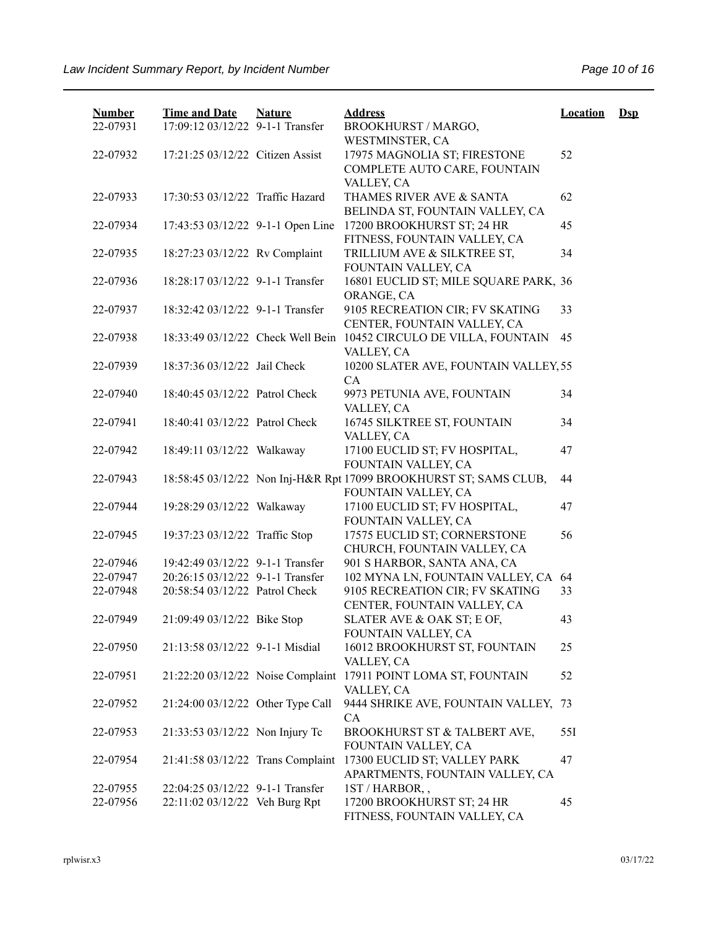| <b>Number</b><br>22-07931 | <b>Time and Date</b><br>17:09:12 03/12/22 9-1-1 Transfer | <b>Nature</b> | <b>Address</b><br>BROOKHURST / MARGO,                                                         | <b>Location</b> | $\mathbf{Dsp}$ |
|---------------------------|----------------------------------------------------------|---------------|-----------------------------------------------------------------------------------------------|-----------------|----------------|
| 22-07932                  | 17:21:25 03/12/22 Citizen Assist                         |               | WESTMINSTER, CA<br>17975 MAGNOLIA ST; FIRESTONE<br>COMPLETE AUTO CARE, FOUNTAIN<br>VALLEY, CA | 52              |                |
| 22-07933                  | 17:30:53 03/12/22 Traffic Hazard                         |               | THAMES RIVER AVE & SANTA<br>BELINDA ST, FOUNTAIN VALLEY, CA                                   | 62              |                |
| 22-07934                  | 17:43:53 03/12/22 9-1-1 Open Line                        |               | 17200 BROOKHURST ST; 24 HR<br>FITNESS, FOUNTAIN VALLEY, CA                                    | 45              |                |
| 22-07935                  | 18:27:23 03/12/22 Rv Complaint                           |               | TRILLIUM AVE & SILKTREE ST,<br>FOUNTAIN VALLEY, CA                                            | 34              |                |
| 22-07936                  | 18:28:17 03/12/22 9-1-1 Transfer                         |               | 16801 EUCLID ST; MILE SQUARE PARK, 36<br>ORANGE, CA                                           |                 |                |
| 22-07937                  | 18:32:42 03/12/22 9-1-1 Transfer                         |               | 9105 RECREATION CIR; FV SKATING<br>CENTER, FOUNTAIN VALLEY, CA                                | 33              |                |
| 22-07938                  | 18:33:49 03/12/22 Check Well Bein                        |               | 10452 CIRCULO DE VILLA, FOUNTAIN<br>VALLEY, CA                                                | 45              |                |
| 22-07939                  | 18:37:36 03/12/22 Jail Check                             |               | 10200 SLATER AVE, FOUNTAIN VALLEY, 55<br>CA                                                   |                 |                |
| 22-07940                  | 18:40:45 03/12/22 Patrol Check                           |               | 9973 PETUNIA AVE, FOUNTAIN<br>VALLEY, CA                                                      | 34              |                |
| 22-07941                  | 18:40:41 03/12/22 Patrol Check                           |               | 16745 SILKTREE ST, FOUNTAIN<br>VALLEY, CA                                                     | 34              |                |
| 22-07942                  | 18:49:11 03/12/22 Walkaway                               |               | 17100 EUCLID ST; FV HOSPITAL,<br>FOUNTAIN VALLEY, CA                                          | 47              |                |
| 22-07943                  |                                                          |               | 18:58:45 03/12/22 Non Inj-H&R Rpt 17099 BROOKHURST ST; SAMS CLUB,<br>FOUNTAIN VALLEY, CA      | 44              |                |
| 22-07944                  | 19:28:29 03/12/22 Walkaway                               |               | 17100 EUCLID ST; FV HOSPITAL,<br>FOUNTAIN VALLEY, CA                                          | 47              |                |
| 22-07945                  | 19:37:23 03/12/22 Traffic Stop                           |               | 17575 EUCLID ST; CORNERSTONE<br>CHURCH, FOUNTAIN VALLEY, CA                                   | 56              |                |
| 22-07946                  | 19:42:49 03/12/22 9-1-1 Transfer                         |               | 901 S HARBOR, SANTA ANA, CA                                                                   |                 |                |
| 22-07947                  | 20:26:15 03/12/22 9-1-1 Transfer                         |               | 102 MYNA LN, FOUNTAIN VALLEY, CA                                                              | 64              |                |
| 22-07948                  | 20:58:54 03/12/22 Patrol Check                           |               | 9105 RECREATION CIR; FV SKATING<br>CENTER, FOUNTAIN VALLEY, CA                                | 33              |                |
| 22-07949                  | 21:09:49 03/12/22 Bike Stop                              |               | SLATER AVE & OAK ST; E OF,<br>FOUNTAIN VALLEY, CA                                             | 43              |                |
| 22-07950                  | 21:13:58 03/12/22 9-1-1 Misdial                          |               | 16012 BROOKHURST ST, FOUNTAIN<br>VALLEY, CA                                                   | 25              |                |
| 22-07951                  | 21:22:20 03/12/22 Noise Complaint                        |               | 17911 POINT LOMA ST, FOUNTAIN<br>VALLEY, CA                                                   | 52              |                |
| 22-07952                  | 21:24:00 03/12/22 Other Type Call                        |               | 9444 SHRIKE AVE, FOUNTAIN VALLEY, 73<br>CA                                                    |                 |                |
| 22-07953                  | 21:33:53 03/12/22 Non Injury Tc                          |               | BROOKHURST ST & TALBERT AVE,<br>FOUNTAIN VALLEY, CA                                           | 55I             |                |
| 22-07954                  | 21:41:58 03/12/22 Trans Complaint                        |               | 17300 EUCLID ST; VALLEY PARK<br>APARTMENTS, FOUNTAIN VALLEY, CA                               | 47              |                |
| 22-07955                  | 22:04:25 03/12/22 9-1-1 Transfer                         |               | 1ST / HARBOR,,                                                                                |                 |                |
| 22-07956                  | 22:11:02 03/12/22 Veh Burg Rpt                           |               | 17200 BROOKHURST ST; 24 HR<br>FITNESS, FOUNTAIN VALLEY, CA                                    | 45              |                |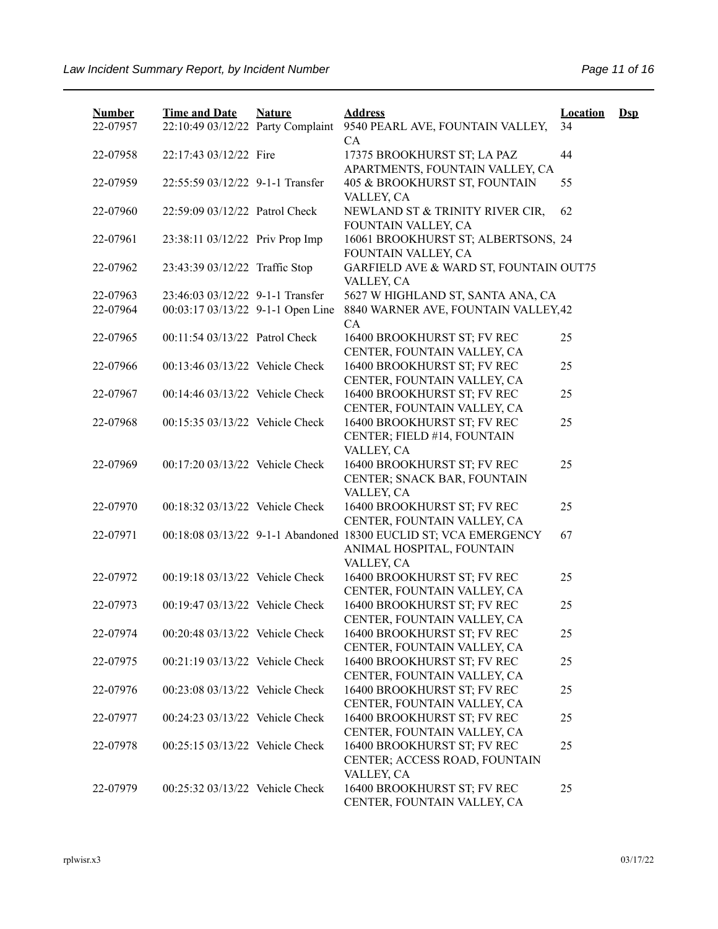| <b>Number</b><br>22-07957 | <b>Time and Date</b><br>22:10:49 03/12/22 Party Complaint | <b>Nature</b> | <b>Address</b><br>9540 PEARL AVE, FOUNTAIN VALLEY,                                                                           | <b>Location</b><br>34 | $\mathbf{Dsp}$ |
|---------------------------|-----------------------------------------------------------|---------------|------------------------------------------------------------------------------------------------------------------------------|-----------------------|----------------|
| 22-07958                  | 22:17:43 03/12/22 Fire                                    |               | <b>CA</b><br>17375 BROOKHURST ST; LA PAZ                                                                                     | 44                    |                |
|                           |                                                           |               | APARTMENTS, FOUNTAIN VALLEY, CA                                                                                              |                       |                |
| 22-07959                  | 22:55:59 03/12/22 9-1-1 Transfer                          |               | 405 & BROOKHURST ST, FOUNTAIN<br>VALLEY, CA                                                                                  | 55                    |                |
| 22-07960                  | 22:59:09 03/12/22 Patrol Check                            |               | NEWLAND ST & TRINITY RIVER CIR,<br>FOUNTAIN VALLEY, CA                                                                       | 62                    |                |
| 22-07961                  | 23:38:11 03/12/22 Priv Prop Imp                           |               | 16061 BROOKHURST ST; ALBERTSONS, 24<br>FOUNTAIN VALLEY, CA                                                                   |                       |                |
| 22-07962                  | 23:43:39 03/12/22 Traffic Stop                            |               | GARFIELD AVE & WARD ST, FOUNTAIN OUT75<br>VALLEY, CA                                                                         |                       |                |
| 22-07963                  | 23:46:03 03/12/22 9-1-1 Transfer                          |               | 5627 W HIGHLAND ST, SANTA ANA, CA                                                                                            |                       |                |
| 22-07964                  | 00:03:17 03/13/22 9-1-1 Open Line                         |               | 8840 WARNER AVE, FOUNTAIN VALLEY, 42<br>CA                                                                                   |                       |                |
| 22-07965                  | 00:11:54 03/13/22 Patrol Check                            |               | 16400 BROOKHURST ST; FV REC<br>CENTER, FOUNTAIN VALLEY, CA                                                                   | 25                    |                |
| 22-07966                  | 00:13:46 03/13/22 Vehicle Check                           |               | 16400 BROOKHURST ST; FV REC<br>CENTER, FOUNTAIN VALLEY, CA                                                                   | 25                    |                |
| 22-07967                  | 00:14:46 03/13/22 Vehicle Check                           |               | 16400 BROOKHURST ST; FV REC<br>CENTER, FOUNTAIN VALLEY, CA                                                                   | 25                    |                |
| 22-07968                  | 00:15:35 03/13/22 Vehicle Check                           |               | 16400 BROOKHURST ST; FV REC<br>CENTER; FIELD #14, FOUNTAIN                                                                   | 25                    |                |
| 22-07969                  | 00:17:20 03/13/22 Vehicle Check                           |               | VALLEY, CA<br>16400 BROOKHURST ST; FV REC<br>CENTER; SNACK BAR, FOUNTAIN                                                     | 25                    |                |
| 22-07970                  | 00:18:32 03/13/22 Vehicle Check                           |               | VALLEY, CA<br>16400 BROOKHURST ST; FV REC                                                                                    | 25                    |                |
| 22-07971                  |                                                           |               | CENTER, FOUNTAIN VALLEY, CA<br>00:18:08 03/13/22 9-1-1 Abandoned 18300 EUCLID ST; VCA EMERGENCY<br>ANIMAL HOSPITAL, FOUNTAIN | 67                    |                |
|                           |                                                           |               | VALLEY, CA                                                                                                                   |                       |                |
| 22-07972                  | 00:19:18 03/13/22 Vehicle Check                           |               | 16400 BROOKHURST ST; FV REC<br>CENTER, FOUNTAIN VALLEY, CA                                                                   | 25                    |                |
| 22-07973                  | 00:19:47 03/13/22 Vehicle Check                           |               | 16400 BROOKHURST ST; FV REC<br>CENTER, FOUNTAIN VALLEY, CA                                                                   | 25                    |                |
| 22-07974                  | 00:20:48 03/13/22 Vehicle Check                           |               | 16400 BROOKHURST ST; FV REC<br>CENTER, FOUNTAIN VALLEY, CA                                                                   | 25                    |                |
| 22-07975                  | 00:21:19 03/13/22 Vehicle Check                           |               | 16400 BROOKHURST ST; FV REC<br>CENTER, FOUNTAIN VALLEY, CA                                                                   | 25                    |                |
| 22-07976                  | 00:23:08 03/13/22 Vehicle Check                           |               | 16400 BROOKHURST ST; FV REC<br>CENTER, FOUNTAIN VALLEY, CA                                                                   | 25                    |                |
| 22-07977                  | 00:24:23 03/13/22 Vehicle Check                           |               | 16400 BROOKHURST ST; FV REC<br>CENTER, FOUNTAIN VALLEY, CA                                                                   | 25                    |                |
| 22-07978                  | 00:25:15 03/13/22 Vehicle Check                           |               | 16400 BROOKHURST ST; FV REC<br>CENTER; ACCESS ROAD, FOUNTAIN<br>VALLEY, CA                                                   | 25                    |                |
| 22-07979                  | 00:25:32 03/13/22 Vehicle Check                           |               | 16400 BROOKHURST ST; FV REC<br>CENTER, FOUNTAIN VALLEY, CA                                                                   | 25                    |                |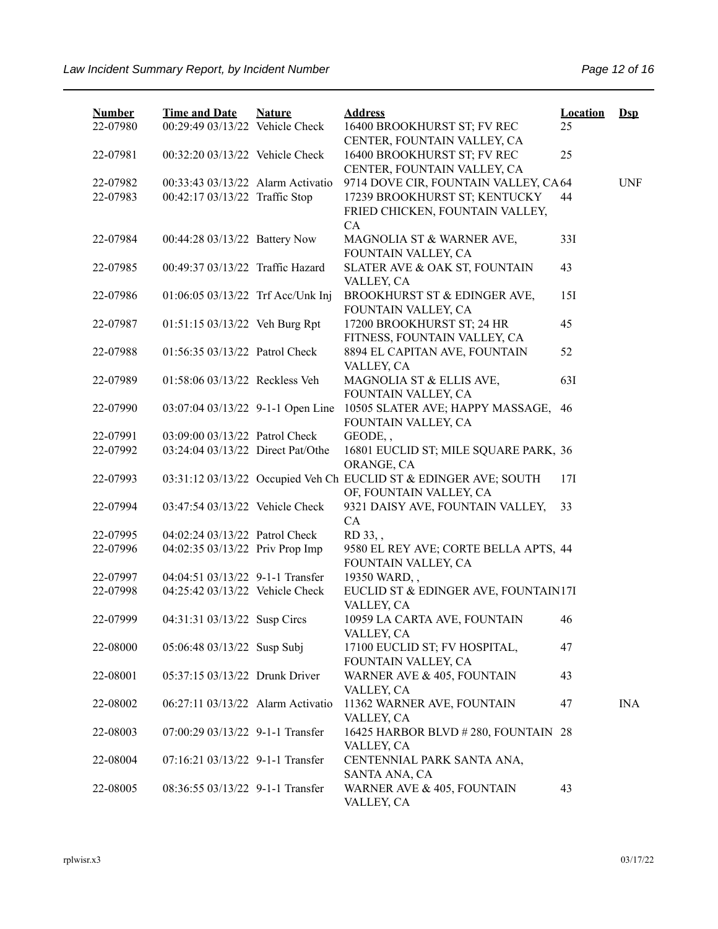| <b>Number</b> | <b>Time and Date</b>              | <b>Nature</b> | <b>Address</b>                                                   | <b>Location</b> | $\mathbf{Dsp}$ |
|---------------|-----------------------------------|---------------|------------------------------------------------------------------|-----------------|----------------|
| 22-07980      | 00:29:49 03/13/22 Vehicle Check   |               | 16400 BROOKHURST ST; FV REC                                      | 25              |                |
|               |                                   |               | CENTER, FOUNTAIN VALLEY, CA                                      |                 |                |
| 22-07981      | 00:32:20 03/13/22 Vehicle Check   |               | 16400 BROOKHURST ST; FV REC<br>CENTER, FOUNTAIN VALLEY, CA       | 25              |                |
| 22-07982      | 00:33:43 03/13/22 Alarm Activatio |               | 9714 DOVE CIR, FOUNTAIN VALLEY, CA64                             |                 | <b>UNF</b>     |
| 22-07983      | 00:42:17 03/13/22 Traffic Stop    |               | 17239 BROOKHURST ST; KENTUCKY                                    | 44              |                |
|               |                                   |               | FRIED CHICKEN, FOUNTAIN VALLEY,                                  |                 |                |
|               |                                   |               | CA                                                               |                 |                |
| 22-07984      | 00:44:28 03/13/22 Battery Now     |               | MAGNOLIA ST & WARNER AVE,                                        | 33I             |                |
|               |                                   |               | FOUNTAIN VALLEY, CA                                              |                 |                |
| 22-07985      | 00:49:37 03/13/22 Traffic Hazard  |               | SLATER AVE & OAK ST, FOUNTAIN                                    | 43              |                |
|               |                                   |               | VALLEY, CA                                                       |                 |                |
| 22-07986      | 01:06:05 03/13/22 Trf Acc/Unk Inj |               | BROOKHURST ST & EDINGER AVE,                                     | 15I             |                |
|               |                                   |               | FOUNTAIN VALLEY, CA                                              |                 |                |
| 22-07987      | 01:51:15 03/13/22 Veh Burg Rpt    |               | 17200 BROOKHURST ST; 24 HR                                       | 45              |                |
|               |                                   |               | FITNESS, FOUNTAIN VALLEY, CA                                     |                 |                |
| 22-07988      | 01:56:35 03/13/22 Patrol Check    |               | 8894 EL CAPITAN AVE, FOUNTAIN                                    | 52              |                |
| 22-07989      | 01:58:06 03/13/22 Reckless Veh    |               | VALLEY, CA                                                       | 63I             |                |
|               |                                   |               | MAGNOLIA ST & ELLIS AVE,<br>FOUNTAIN VALLEY, CA                  |                 |                |
| 22-07990      | 03:07:04 03/13/22 9-1-1 Open Line |               | 10505 SLATER AVE; HAPPY MASSAGE,                                 | 46              |                |
|               |                                   |               | FOUNTAIN VALLEY, CA                                              |                 |                |
| 22-07991      | 03:09:00 03/13/22 Patrol Check    |               | GEODE,,                                                          |                 |                |
| 22-07992      | 03:24:04 03/13/22 Direct Pat/Othe |               | 16801 EUCLID ST; MILE SQUARE PARK, 36                            |                 |                |
|               |                                   |               | ORANGE, CA                                                       |                 |                |
| 22-07993      |                                   |               | 03:31:12 03/13/22 Occupied Veh Ch EUCLID ST & EDINGER AVE; SOUTH | 17I             |                |
|               |                                   |               | OF, FOUNTAIN VALLEY, CA                                          |                 |                |
| 22-07994      | 03:47:54 03/13/22 Vehicle Check   |               | 9321 DAISY AVE, FOUNTAIN VALLEY,                                 | 33              |                |
|               |                                   |               | CA                                                               |                 |                |
| 22-07995      | 04:02:24 03/13/22 Patrol Check    |               | RD 33,,                                                          |                 |                |
| 22-07996      | 04:02:35 03/13/22 Priv Prop Imp   |               | 9580 EL REY AVE; CORTE BELLA APTS, 44                            |                 |                |
|               |                                   |               | FOUNTAIN VALLEY, CA                                              |                 |                |
| 22-07997      | 04:04:51 03/13/22 9-1-1 Transfer  |               | 19350 WARD,,                                                     |                 |                |
| 22-07998      | 04:25:42 03/13/22 Vehicle Check   |               | EUCLID ST & EDINGER AVE, FOUNTAIN17I                             |                 |                |
|               |                                   |               | VALLEY, CA                                                       |                 |                |
| 22-07999      | 04:31:31 03/13/22 Susp Circs      |               | 10959 LA CARTA AVE, FOUNTAIN                                     | 46              |                |
|               |                                   |               | VALLEY, CA                                                       |                 |                |
| 22-08000      | 05:06:48 03/13/22 Susp Subj       |               | 17100 EUCLID ST; FV HOSPITAL,                                    | 47              |                |
| 22-08001      | 05:37:15 03/13/22 Drunk Driver    |               | FOUNTAIN VALLEY, CA<br>WARNER AVE & 405, FOUNTAIN                | 43              |                |
|               |                                   |               | VALLEY, CA                                                       |                 |                |
| 22-08002      | 06:27:11 03/13/22 Alarm Activatio |               | 11362 WARNER AVE, FOUNTAIN                                       | 47              | <b>INA</b>     |
|               |                                   |               | VALLEY, CA                                                       |                 |                |
| 22-08003      | 07:00:29 03/13/22 9-1-1 Transfer  |               | 16425 HARBOR BLVD #280, FOUNTAIN 28                              |                 |                |
|               |                                   |               | VALLEY, CA                                                       |                 |                |
| 22-08004      | 07:16:21 03/13/22 9-1-1 Transfer  |               | CENTENNIAL PARK SANTA ANA,                                       |                 |                |
|               |                                   |               | SANTA ANA, CA                                                    |                 |                |
| 22-08005      | 08:36:55 03/13/22 9-1-1 Transfer  |               | WARNER AVE & 405, FOUNTAIN                                       | 43              |                |
|               |                                   |               | VALLEY, CA                                                       |                 |                |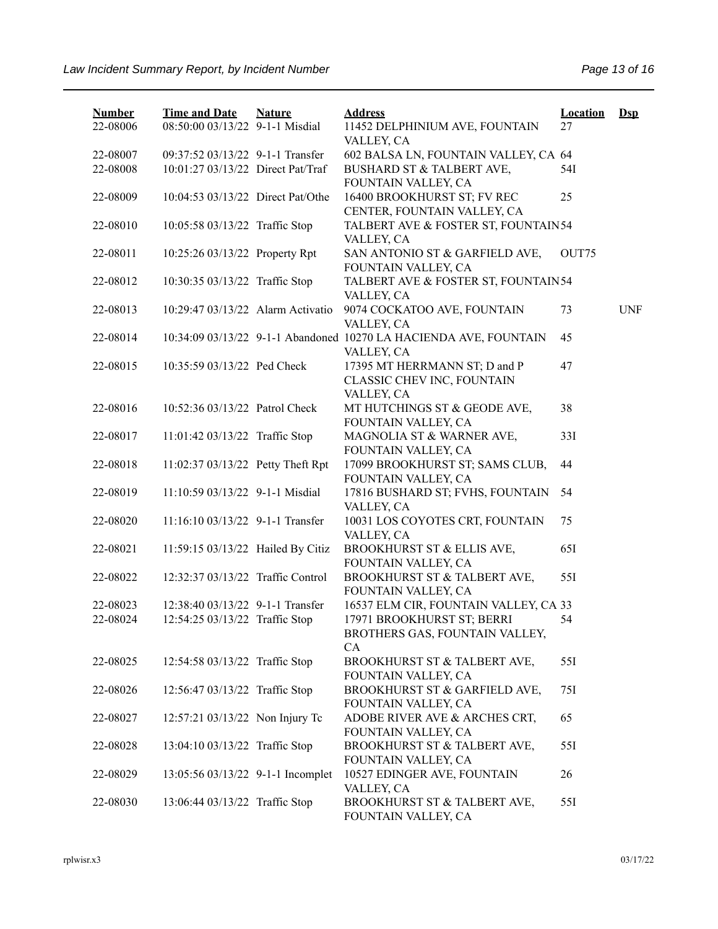| <b>Number</b><br>22-08006 | <b>Time and Date</b><br>08:50:00 03/13/22 9-1-1 Misdial | <b>Nature</b> | <b>Address</b><br>11452 DELPHINIUM AVE, FOUNTAIN                                | <b>Location</b><br>27 | $\mathbf{Dsp}$ |
|---------------------------|---------------------------------------------------------|---------------|---------------------------------------------------------------------------------|-----------------------|----------------|
|                           |                                                         |               | VALLEY, CA                                                                      |                       |                |
| 22-08007                  | 09:37:52 03/13/22 9-1-1 Transfer                        |               | 602 BALSA LN, FOUNTAIN VALLEY, CA 64                                            |                       |                |
| 22-08008                  | 10:01:27 03/13/22 Direct Pat/Traf                       |               | BUSHARD ST & TALBERT AVE,<br>FOUNTAIN VALLEY, CA                                | 54I                   |                |
| 22-08009                  | 10:04:53 03/13/22 Direct Pat/Othe                       |               | 16400 BROOKHURST ST; FV REC<br>CENTER, FOUNTAIN VALLEY, CA                      | 25                    |                |
| 22-08010                  | 10:05:58 03/13/22 Traffic Stop                          |               | TALBERT AVE & FOSTER ST, FOUNTAIN54<br>VALLEY, CA                               |                       |                |
| 22-08011                  | 10:25:26 03/13/22 Property Rpt                          |               | SAN ANTONIO ST & GARFIELD AVE,<br>FOUNTAIN VALLEY, CA                           | OUT75                 |                |
| 22-08012                  | 10:30:35 03/13/22 Traffic Stop                          |               | TALBERT AVE & FOSTER ST, FOUNTAIN54<br>VALLEY, CA                               |                       |                |
| 22-08013                  | 10:29:47 03/13/22 Alarm Activatio                       |               | 9074 COCKATOO AVE, FOUNTAIN<br>VALLEY, CA                                       | 73                    | <b>UNF</b>     |
| 22-08014                  |                                                         |               | 10:34:09 03/13/22 9-1-1 Abandoned 10270 LA HACIENDA AVE, FOUNTAIN<br>VALLEY, CA | 45                    |                |
| 22-08015                  | 10:35:59 03/13/22 Ped Check                             |               | 17395 MT HERRMANN ST; D and P<br>CLASSIC CHEV INC, FOUNTAIN<br>VALLEY, CA       | 47                    |                |
| 22-08016                  | 10:52:36 03/13/22 Patrol Check                          |               | MT HUTCHINGS ST & GEODE AVE,<br>FOUNTAIN VALLEY, CA                             | 38                    |                |
| 22-08017                  | 11:01:42 03/13/22 Traffic Stop                          |               | MAGNOLIA ST & WARNER AVE,<br>FOUNTAIN VALLEY, CA                                | 33I                   |                |
| 22-08018                  | 11:02:37 03/13/22 Petty Theft Rpt                       |               | 17099 BROOKHURST ST; SAMS CLUB,<br>FOUNTAIN VALLEY, CA                          | 44                    |                |
| 22-08019                  | 11:10:59 03/13/22 9-1-1 Misdial                         |               | 17816 BUSHARD ST; FVHS, FOUNTAIN<br>VALLEY, CA                                  | 54                    |                |
| 22-08020                  | 11:16:10 03/13/22 9-1-1 Transfer                        |               | 10031 LOS COYOTES CRT, FOUNTAIN<br>VALLEY, CA                                   | 75                    |                |
| 22-08021                  | 11:59:15 03/13/22 Hailed By Citiz                       |               | BROOKHURST ST & ELLIS AVE,<br>FOUNTAIN VALLEY, CA                               | 65I                   |                |
| 22-08022                  | 12:32:37 03/13/22 Traffic Control                       |               | BROOKHURST ST & TALBERT AVE,<br>FOUNTAIN VALLEY, CA                             | 55I                   |                |
| 22-08023                  | 12:38:40 03/13/22 9-1-1 Transfer                        |               | 16537 ELM CIR, FOUNTAIN VALLEY, CA 33                                           |                       |                |
| 22-08024                  | 12:54:25 03/13/22 Traffic Stop                          |               | 17971 BROOKHURST ST; BERRI<br>BROTHERS GAS, FOUNTAIN VALLEY,<br>CA              | 54                    |                |
| 22-08025                  | 12:54:58 03/13/22 Traffic Stop                          |               | BROOKHURST ST & TALBERT AVE,<br>FOUNTAIN VALLEY, CA                             | 55I                   |                |
| 22-08026                  | 12:56:47 03/13/22 Traffic Stop                          |               | BROOKHURST ST & GARFIELD AVE,<br>FOUNTAIN VALLEY, CA                            | 75I                   |                |
| 22-08027                  | 12:57:21 03/13/22 Non Injury Tc                         |               | ADOBE RIVER AVE & ARCHES CRT,<br>FOUNTAIN VALLEY, CA                            | 65                    |                |
| 22-08028                  | 13:04:10 03/13/22 Traffic Stop                          |               | BROOKHURST ST & TALBERT AVE,<br>FOUNTAIN VALLEY, CA                             | 55I                   |                |
| 22-08029                  | 13:05:56 03/13/22 9-1-1 Incomplet                       |               | 10527 EDINGER AVE, FOUNTAIN<br>VALLEY, CA                                       | 26                    |                |
| 22-08030                  | 13:06:44 03/13/22 Traffic Stop                          |               | BROOKHURST ST & TALBERT AVE,<br>FOUNTAIN VALLEY, CA                             | 55I                   |                |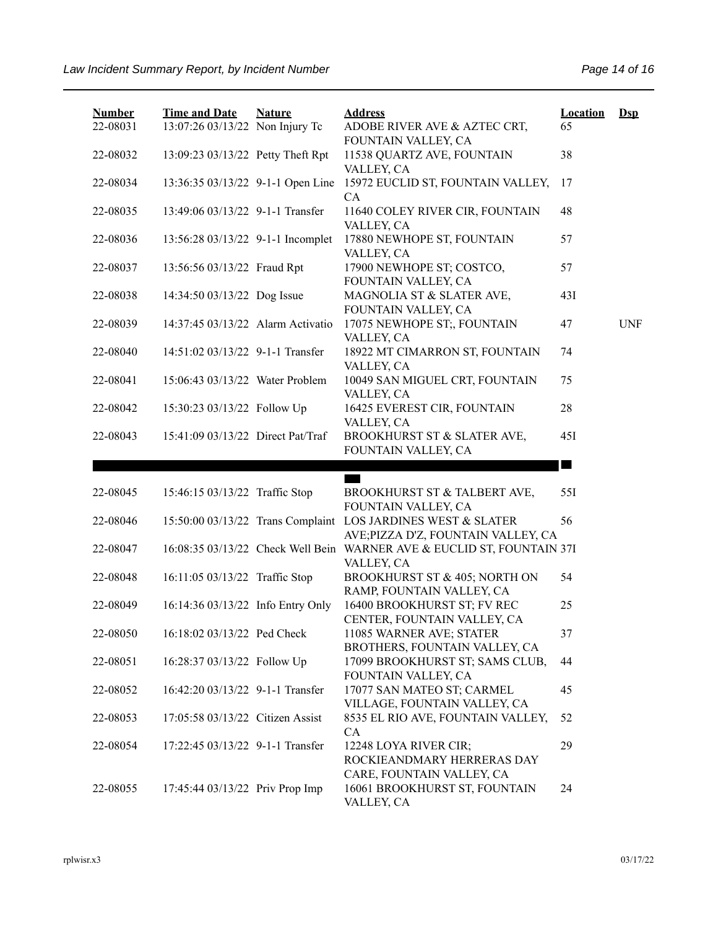| <b>Number</b> | <b>Time and Date</b>              | <b>Nature</b> | <b>Address</b>                                                                                                             | <b>Location</b> | $\mathbf{Dsp}$ |
|---------------|-----------------------------------|---------------|----------------------------------------------------------------------------------------------------------------------------|-----------------|----------------|
| 22-08031      | 13:07:26 03/13/22 Non Injury Tc   |               | ADOBE RIVER AVE & AZTEC CRT,<br>FOUNTAIN VALLEY, CA                                                                        | 65              |                |
| 22-08032      | 13:09:23 03/13/22 Petty Theft Rpt |               | 11538 QUARTZ AVE, FOUNTAIN<br>VALLEY, CA                                                                                   | 38              |                |
| 22-08034      | 13:36:35 03/13/22 9-1-1 Open Line |               | 15972 EUCLID ST, FOUNTAIN VALLEY,<br>CA                                                                                    | 17              |                |
| 22-08035      | 13:49:06 03/13/22 9-1-1 Transfer  |               | 11640 COLEY RIVER CIR, FOUNTAIN<br>VALLEY, CA                                                                              | 48              |                |
| 22-08036      | 13:56:28 03/13/22 9-1-1 Incomplet |               | 17880 NEWHOPE ST, FOUNTAIN<br>VALLEY, CA                                                                                   | 57              |                |
| 22-08037      | 13:56:56 03/13/22 Fraud Rpt       |               | 17900 NEWHOPE ST; COSTCO,<br>FOUNTAIN VALLEY, CA                                                                           | 57              |                |
| 22-08038      | 14:34:50 03/13/22 Dog Issue       |               | MAGNOLIA ST & SLATER AVE,<br>FOUNTAIN VALLEY, CA                                                                           | 43I             |                |
| 22-08039      | 14:37:45 03/13/22 Alarm Activatio |               | 17075 NEWHOPE ST;, FOUNTAIN<br>VALLEY, CA                                                                                  | 47              | <b>UNF</b>     |
| 22-08040      | 14:51:02 03/13/22 9-1-1 Transfer  |               | 18922 MT CIMARRON ST, FOUNTAIN<br>VALLEY, CA                                                                               | 74              |                |
| 22-08041      | 15:06:43 03/13/22 Water Problem   |               | 10049 SAN MIGUEL CRT, FOUNTAIN<br>VALLEY, CA                                                                               | 75              |                |
| 22-08042      | 15:30:23 03/13/22 Follow Up       |               | 16425 EVEREST CIR, FOUNTAIN<br>VALLEY, CA                                                                                  | 28              |                |
| 22-08043      | 15:41:09 03/13/22 Direct Pat/Traf |               | BROOKHURST ST & SLATER AVE,<br>FOUNTAIN VALLEY, CA                                                                         | 45I             |                |
|               |                                   |               |                                                                                                                            |                 |                |
|               |                                   |               |                                                                                                                            | <b>College</b>  |                |
| 22-08045      | 15:46:15 03/13/22 Traffic Stop    |               | BROOKHURST ST & TALBERT AVE,                                                                                               | 55I             |                |
| 22-08046      |                                   |               | FOUNTAIN VALLEY, CA<br>15:50:00 03/13/22 Trans Complaint LOS JARDINES WEST & SLATER<br>AVE; PIZZA D'Z, FOUNTAIN VALLEY, CA | 56              |                |
| 22-08047      |                                   |               | 16:08:35 03/13/22 Check Well Bein WARNER AVE & EUCLID ST, FOUNTAIN 37I<br>VALLEY, CA                                       |                 |                |
| 22-08048      | 16:11:05 03/13/22 Traffic Stop    |               | BROOKHURST ST & 405; NORTH ON<br>RAMP, FOUNTAIN VALLEY, CA                                                                 | 54              |                |
| 22-08049      | 16:14:36 03/13/22 Info Entry Only |               | 16400 BROOKHURST ST; FV REC<br>CENTER, FOUNTAIN VALLEY, CA                                                                 | 25              |                |
| 22-08050      | 16:18:02 03/13/22 Ped Check       |               | 11085 WARNER AVE; STATER<br>BROTHERS, FOUNTAIN VALLEY, CA                                                                  | 37              |                |
| 22-08051      | 16:28:37 03/13/22 Follow Up       |               | 17099 BROOKHURST ST; SAMS CLUB,<br>FOUNTAIN VALLEY, CA                                                                     | 44              |                |
| 22-08052      | 16:42:20 03/13/22 9-1-1 Transfer  |               | 17077 SAN MATEO ST; CARMEL<br>VILLAGE, FOUNTAIN VALLEY, CA                                                                 | 45              |                |
| 22-08053      | 17:05:58 03/13/22 Citizen Assist  |               | 8535 EL RIO AVE, FOUNTAIN VALLEY,<br>CA                                                                                    | 52              |                |
| 22-08054      | 17:22:45 03/13/22 9-1-1 Transfer  |               | 12248 LOYA RIVER CIR;<br>ROCKIEANDMARY HERRERAS DAY<br>CARE, FOUNTAIN VALLEY, CA                                           | 29              |                |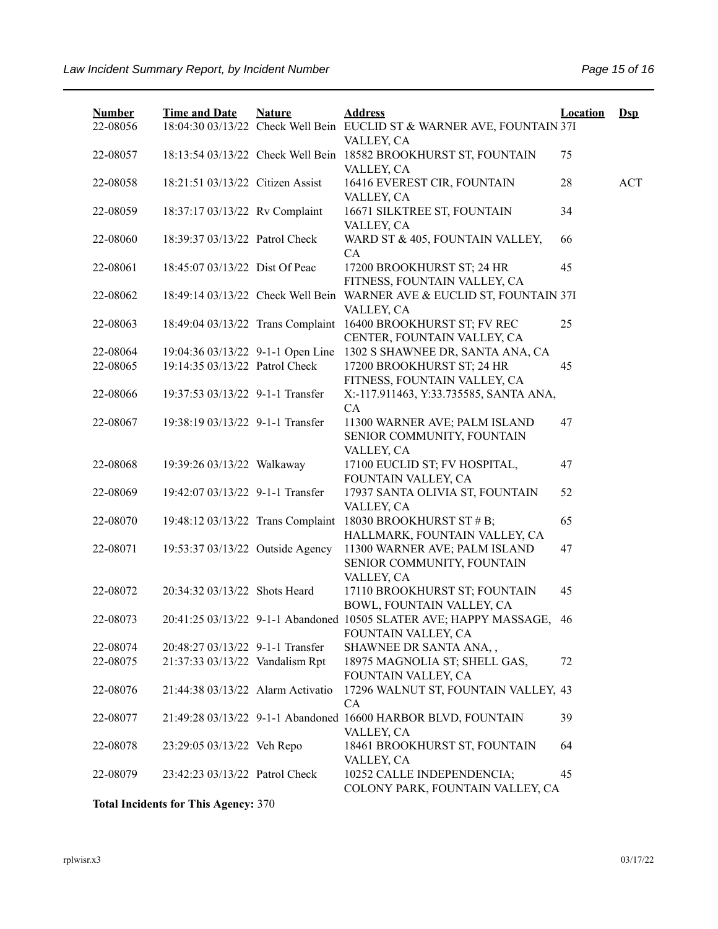| <b>Number</b> | <b>Time and Date</b>              | <b>Nature</b> | <b>Address</b>                                                                | <b>Location</b> | $\mathbf{Dsp}$ |
|---------------|-----------------------------------|---------------|-------------------------------------------------------------------------------|-----------------|----------------|
| 22-08056      |                                   |               | 18:04:30 03/13/22 Check Well Bein EUCLID ST & WARNER AVE, FOUNTAIN 37I        |                 |                |
| 22-08057      |                                   |               | VALLEY, CA<br>18:13:54 03/13/22 Check Well Bein 18582 BROOKHURST ST, FOUNTAIN | 75              |                |
|               |                                   |               | VALLEY, CA                                                                    |                 |                |
| 22-08058      | 18:21:51 03/13/22 Citizen Assist  |               | 16416 EVEREST CIR, FOUNTAIN                                                   | 28              | <b>ACT</b>     |
|               |                                   |               | VALLEY, CA                                                                    |                 |                |
| 22-08059      | 18:37:17 03/13/22 Rv Complaint    |               | 16671 SILKTREE ST, FOUNTAIN                                                   | 34              |                |
|               |                                   |               | VALLEY, CA                                                                    |                 |                |
| 22-08060      | 18:39:37 03/13/22 Patrol Check    |               | WARD ST & 405, FOUNTAIN VALLEY,                                               | 66              |                |
|               |                                   |               | CA                                                                            |                 |                |
| 22-08061      | 18:45:07 03/13/22 Dist Of Peac    |               | 17200 BROOKHURST ST; 24 HR                                                    | 45              |                |
|               |                                   |               | FITNESS, FOUNTAIN VALLEY, CA                                                  |                 |                |
| 22-08062      | 18:49:14 03/13/22 Check Well Bein |               | WARNER AVE & EUCLID ST, FOUNTAIN 37I<br>VALLEY, CA                            |                 |                |
| 22-08063      | 18:49:04 03/13/22 Trans Complaint |               | 16400 BROOKHURST ST; FV REC                                                   | 25              |                |
|               |                                   |               | CENTER, FOUNTAIN VALLEY, CA                                                   |                 |                |
| 22-08064      | 19:04:36 03/13/22 9-1-1 Open Line |               | 1302 S SHAWNEE DR, SANTA ANA, CA                                              |                 |                |
| 22-08065      | 19:14:35 03/13/22 Patrol Check    |               | 17200 BROOKHURST ST; 24 HR                                                    | 45              |                |
|               |                                   |               | FITNESS, FOUNTAIN VALLEY, CA                                                  |                 |                |
| 22-08066      | 19:37:53 03/13/22 9-1-1 Transfer  |               | X:-117.911463, Y:33.735585, SANTA ANA,                                        |                 |                |
|               |                                   |               | CA                                                                            |                 |                |
| 22-08067      | 19:38:19 03/13/22 9-1-1 Transfer  |               | 11300 WARNER AVE; PALM ISLAND                                                 | 47              |                |
|               |                                   |               | SENIOR COMMUNITY, FOUNTAIN                                                    |                 |                |
|               |                                   |               | VALLEY, CA                                                                    |                 |                |
| 22-08068      | 19:39:26 03/13/22 Walkaway        |               | 17100 EUCLID ST; FV HOSPITAL,<br>FOUNTAIN VALLEY, CA                          | 47              |                |
| 22-08069      | 19:42:07 03/13/22 9-1-1 Transfer  |               | 17937 SANTA OLIVIA ST, FOUNTAIN                                               | 52              |                |
|               |                                   |               | VALLEY, CA                                                                    |                 |                |
| 22-08070      | 19:48:12 03/13/22 Trans Complaint |               | 18030 BROOKHURST ST # B;                                                      | 65              |                |
|               |                                   |               | HALLMARK, FOUNTAIN VALLEY, CA                                                 |                 |                |
| 22-08071      | 19:53:37 03/13/22 Outside Agency  |               | 11300 WARNER AVE; PALM ISLAND                                                 | 47              |                |
|               |                                   |               | SENIOR COMMUNITY, FOUNTAIN                                                    |                 |                |
|               |                                   |               | VALLEY, CA                                                                    |                 |                |
| 22-08072      | 20:34:32 03/13/22 Shots Heard     |               | 17110 BROOKHURST ST; FOUNTAIN                                                 | 45              |                |
|               |                                   |               | BOWL, FOUNTAIN VALLEY, CA                                                     |                 |                |
| 22-08073      |                                   |               | 20:41:25 03/13/22 9-1-1 Abandoned 10505 SLATER AVE; HAPPY MASSAGE,            | 46              |                |
| 22-08074      | 20:48:27 03/13/22 9-1-1 Transfer  |               | FOUNTAIN VALLEY, CA<br>SHAWNEE DR SANTA ANA,,                                 |                 |                |
| 22-08075      | 21:37:33 03/13/22 Vandalism Rpt   |               | 18975 MAGNOLIA ST; SHELL GAS,                                                 | 72              |                |
|               |                                   |               | FOUNTAIN VALLEY, CA                                                           |                 |                |
| 22-08076      | 21:44:38 03/13/22 Alarm Activatio |               | 17296 WALNUT ST, FOUNTAIN VALLEY, 43                                          |                 |                |
|               |                                   |               | CA                                                                            |                 |                |
| 22-08077      |                                   |               | 21:49:28 03/13/22 9-1-1 Abandoned 16600 HARBOR BLVD, FOUNTAIN                 | 39              |                |
|               |                                   |               | VALLEY, CA                                                                    |                 |                |
| 22-08078      | 23:29:05 03/13/22 Veh Repo        |               | 18461 BROOKHURST ST, FOUNTAIN                                                 | 64              |                |
|               |                                   |               | VALLEY, CA                                                                    |                 |                |
| 22-08079      | 23:42:23 03/13/22 Patrol Check    |               | 10252 CALLE INDEPENDENCIA;                                                    | 45              |                |
|               |                                   |               | COLONY PARK, FOUNTAIN VALLEY, CA                                              |                 |                |

**Total Incidents for This Agency:** 370